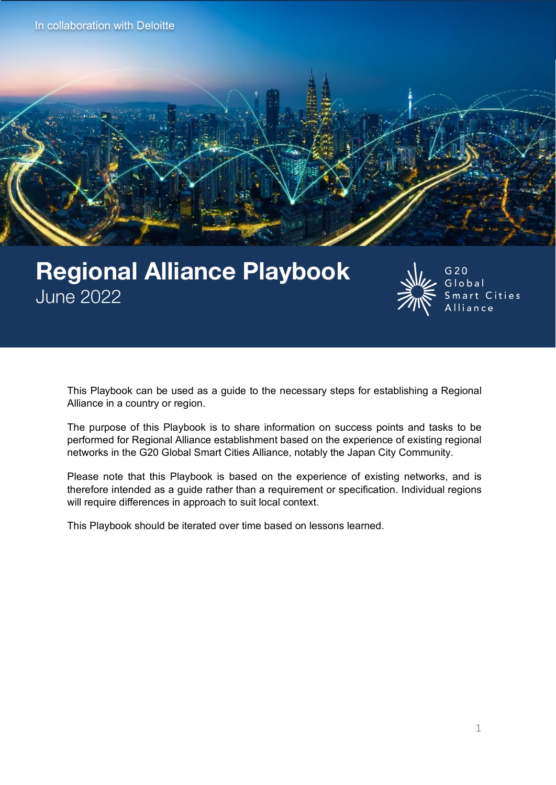**Appendix** In collaboration with Deloitte



# Regional Alliance Playbook June 2022



 $G<sub>20</sub>$ Global Smart Cities Alliance

This Playbook can be used as a guide to the necessary steps for establishing a Regional Alliance in a country or region.

The purpose of this Playbook is to share information on success points and tasks to be performed for Regional Alliance establishment based on the experience of existing regional networks in the G20 Global Smart Cities Alliance, notably the Japan City Community.

Please note that this Playbook is based on the experience of existing networks, and is therefore intended as a guide rather than a requirement or specification. Individual regions will require differences in approach to suit local context.

This Playbook should be iterated over time based on lessons learned.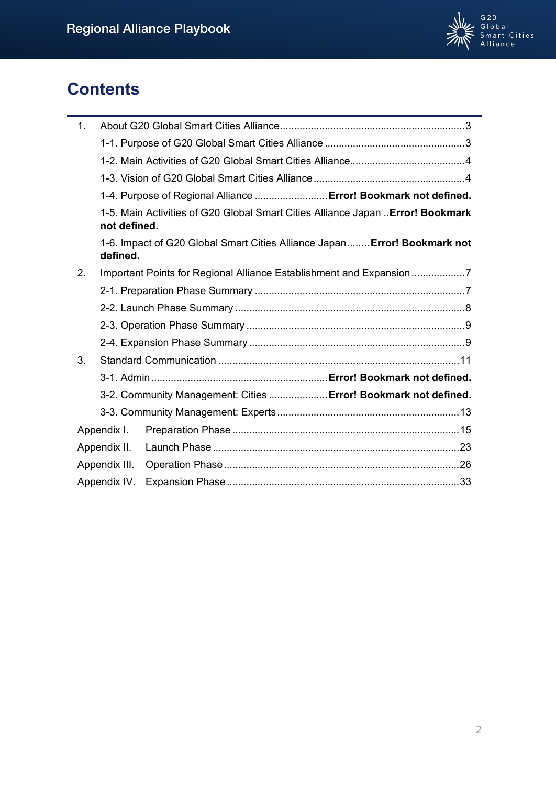

# **Contents**

| 1.            |                                                                                                 |                                                                           |  |
|---------------|-------------------------------------------------------------------------------------------------|---------------------------------------------------------------------------|--|
|               |                                                                                                 |                                                                           |  |
|               |                                                                                                 |                                                                           |  |
|               |                                                                                                 |                                                                           |  |
|               |                                                                                                 | 1-4. Purpose of Regional Alliance  Error! Bookmark not defined.           |  |
|               | 1-5. Main Activities of G20 Global Smart Cities Alliance Japan  Error! Bookmark<br>not defined. |                                                                           |  |
|               | defined.                                                                                        | 1-6. Impact of G20 Global Smart Cities Alliance Japan Error! Bookmark not |  |
| 2.            | Important Points for Regional Alliance Establishment and Expansion 7                            |                                                                           |  |
|               |                                                                                                 |                                                                           |  |
|               |                                                                                                 |                                                                           |  |
|               |                                                                                                 |                                                                           |  |
|               |                                                                                                 |                                                                           |  |
| 3.            |                                                                                                 |                                                                           |  |
|               |                                                                                                 |                                                                           |  |
|               | 3-2. Community Management: Cities  Error! Bookmark not defined.                                 |                                                                           |  |
|               |                                                                                                 |                                                                           |  |
|               | Appendix I.                                                                                     |                                                                           |  |
| Appendix II.  |                                                                                                 |                                                                           |  |
| Appendix III. |                                                                                                 |                                                                           |  |
| Appendix IV.  |                                                                                                 |                                                                           |  |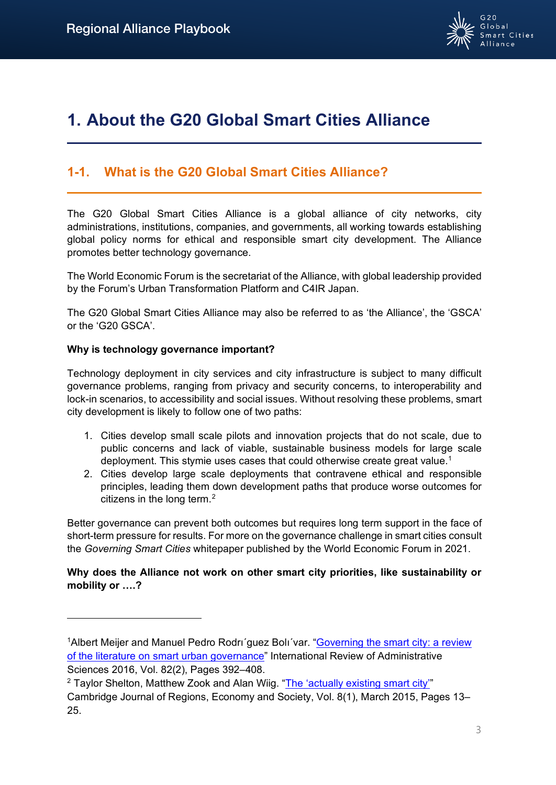

# <span id="page-2-0"></span>**1. About the G20 Global Smart Cities Alliance**

# <span id="page-2-1"></span>**1-1. What is the G20 Global Smart Cities Alliance?**

The G20 Global Smart Cities Alliance is a global alliance of city networks, city administrations, institutions, companies, and governments, all working towards establishing global policy norms for ethical and responsible smart city development. The Alliance promotes better technology governance.

The World Economic Forum is the secretariat of the Alliance, with global leadership provided by the Forum's Urban Transformation Platform and C4IR Japan.

The G20 Global Smart Cities Alliance may also be referred to as 'the Alliance', the 'GSCA' or the 'G20 GSCA'.

## **Why is technology governance important?**

Technology deployment in city services and city infrastructure is subject to many difficult governance problems, ranging from privacy and security concerns, to interoperability and lock-in scenarios, to accessibility and social issues. Without resolving these problems, smart city development is likely to follow one of two paths:

- 1. Cities develop small scale pilots and innovation projects that do not scale, due to public concerns and lack of viable, sustainable business models for large scale deployment. This stymie uses cases that could otherwise create great value.<sup>1</sup>
- 2. Cities develop large scale deployments that contravene ethical and responsible principles, leading them down development paths that produce worse outcomes for citizens in the long term.<sup>[2](#page-2-3)</sup>

Better governance can prevent both outcomes but requires long term support in the face of short-term pressure for results. For more on the governance challenge in smart cities consult the *Governing Smart Cities* whitepaper published by the World Economic Forum in 2021.

**Why does the Alliance not work on other smart city priorities, like sustainability or mobility or ….?** 

<span id="page-2-2"></span><sup>&</sup>lt;sup>1</sup> Albert Meijer and Manuel Pedro Rodri'guez Boli'var. "Governing the smart city: a review [of the literature on smart urban governance"](https://journals.sagepub.com/doi/pdf/10.1177/0020852314564308) International Review of Administrative Sciences 2016, Vol. 82(2), Pages 392–408.<br><sup>2</sup> Taylor Shelton, Matthew Zook and Alan Wiig. ["The 'actually existing smart city'"](https://academic.oup.com/cjres/article/8/1/13/304403?login=true)

<span id="page-2-3"></span>Cambridge Journal of Regions, Economy and Society, Vol. 8(1), March 2015, Pages 13– 25.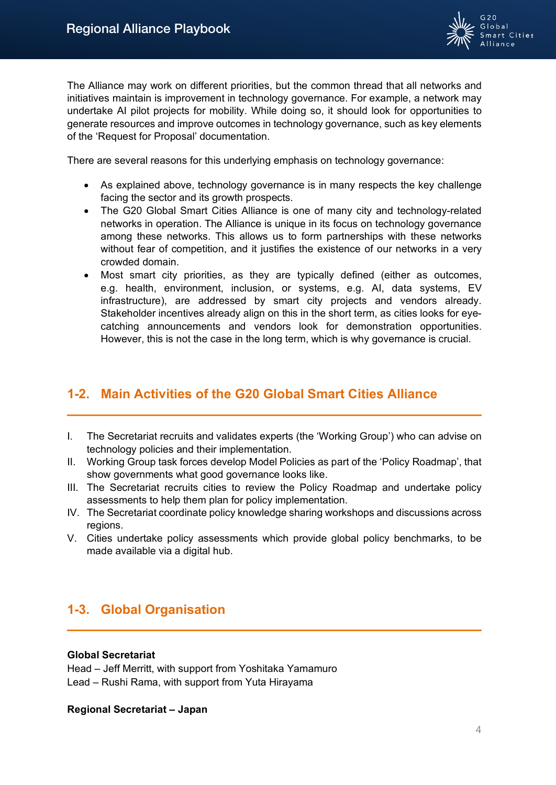

The Alliance may work on different priorities, but the common thread that all networks and initiatives maintain is improvement in technology governance. For example, a network may undertake AI pilot projects for mobility. While doing so, it should look for opportunities to generate resources and improve outcomes in technology governance, such as key elements of the 'Request for Proposal' documentation.

There are several reasons for this underlying emphasis on technology governance:

- As explained above, technology governance is in many respects the key challenge facing the sector and its growth prospects.
- The G20 Global Smart Cities Alliance is one of many city and technology-related networks in operation. The Alliance is unique in its focus on technology governance among these networks. This allows us to form partnerships with these networks without fear of competition, and it justifies the existence of our networks in a very crowded domain.
- Most smart city priorities, as they are typically defined (either as outcomes, e.g. health, environment, inclusion, or systems, e.g. AI, data systems, EV infrastructure), are addressed by smart city projects and vendors already. Stakeholder incentives already align on this in the short term, as cities looks for eyecatching announcements and vendors look for demonstration opportunities. However, this is not the case in the long term, which is why governance is crucial.

# <span id="page-3-0"></span>**1-2. Main Activities of the G20 Global Smart Cities Alliance**

- I. The Secretariat recruits and validates experts (the 'Working Group') who can advise on technology policies and their implementation.
- II. Working Group task forces develop Model Policies as part of the 'Policy Roadmap', that show governments what good governance looks like.
- III. The Secretariat recruits cities to review the Policy Roadmap and undertake policy assessments to help them plan for policy implementation.
- IV. The Secretariat coordinate policy knowledge sharing workshops and discussions across regions.
- V. Cities undertake policy assessments which provide global policy benchmarks, to be made available via a digital hub.

# <span id="page-3-1"></span>**1-3. Global Organisation**

## **Global Secretariat**

Head – Jeff Merritt, with support from Yoshitaka Yamamuro Lead – Rushi Rama, with support from Yuta Hirayama

## **Regional Secretariat – Japan**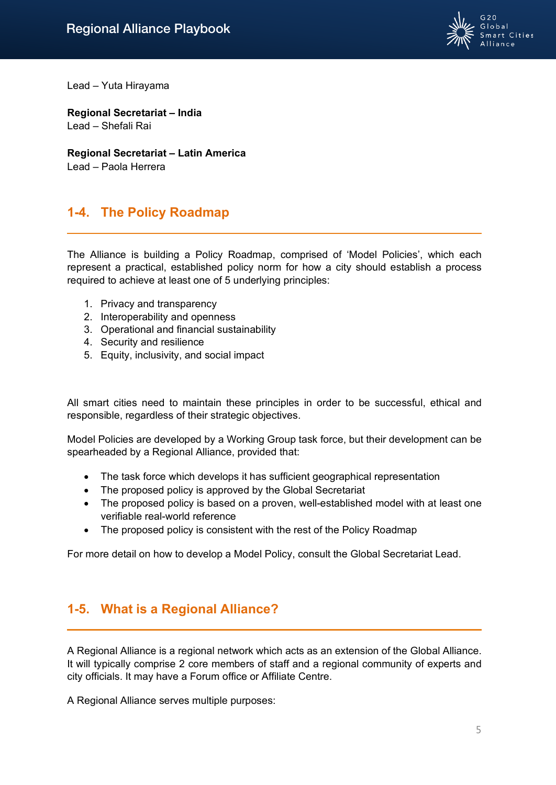

Lead – Yuta Hirayama

**Regional Secretariat – India** Lead – Shefali Rai

**Regional Secretariat – Latin America** Lead – Paola Herrera

# **1-4. The Policy Roadmap**

The Alliance is building a Policy Roadmap, comprised of 'Model Policies', which each represent a practical, established policy norm for how a city should establish a process required to achieve at least one of 5 underlying principles:

- 1. Privacy and transparency
- 2. Interoperability and openness
- 3. Operational and financial sustainability
- 4. Security and resilience
- 5. Equity, inclusivity, and social impact

All smart cities need to maintain these principles in order to be successful, ethical and responsible, regardless of their strategic objectives.

Model Policies are developed by a Working Group task force, but their development can be spearheaded by a Regional Alliance, provided that:

- The task force which develops it has sufficient geographical representation
- The proposed policy is approved by the Global Secretariat
- The proposed policy is based on a proven, well-established model with at least one verifiable real-world reference
- The proposed policy is consistent with the rest of the Policy Roadmap

For more detail on how to develop a Model Policy, consult the Global Secretariat Lead.

# **1-5. What is a Regional Alliance?**

A Regional Alliance is a regional network which acts as an extension of the Global Alliance. It will typically comprise 2 core members of staff and a regional community of experts and city officials. It may have a Forum office or Affiliate Centre.

A Regional Alliance serves multiple purposes: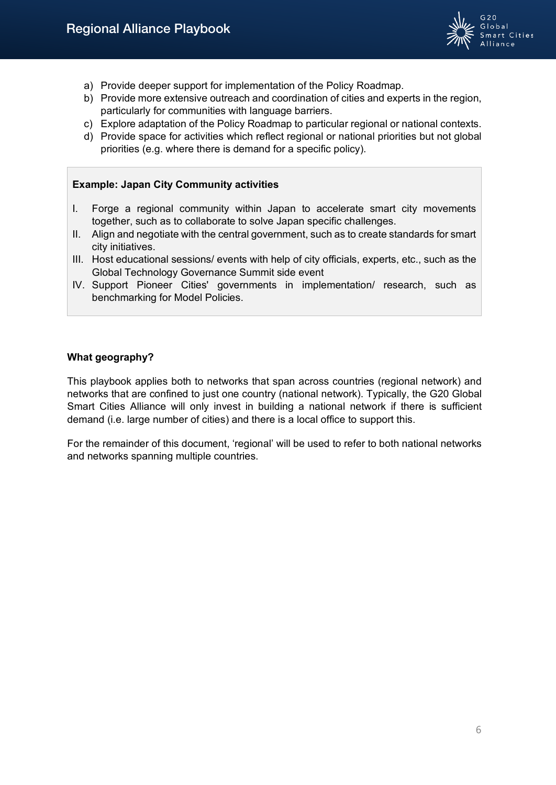

- a) Provide deeper support for implementation of the Policy Roadmap.
- b) Provide more extensive outreach and coordination of cities and experts in the region, particularly for communities with language barriers.
- c) Explore adaptation of the Policy Roadmap to particular regional or national contexts.
- d) Provide space for activities which reflect regional or national priorities but not global priorities (e.g. where there is demand for a specific policy).

## **Example: Japan City Community activities**

- I. Forge a regional community within Japan to accelerate smart city movements together, such as to collaborate to solve Japan specific challenges.
- II. Align and negotiate with the central government, such as to create standards for smart city initiatives.
- III. Host educational sessions/ events with help of city officials, experts, etc., such as the Global Technology Governance Summit side event
- IV. Support Pioneer Cities' governments in implementation/ research, such as benchmarking for Model Policies.

## **What geography?**

This playbook applies both to networks that span across countries (regional network) and networks that are confined to just one country (national network). Typically, the G20 Global Smart Cities Alliance will only invest in building a national network if there is sufficient demand (i.e. large number of cities) and there is a local office to support this.

For the remainder of this document, 'regional' will be used to refer to both national networks and networks spanning multiple countries.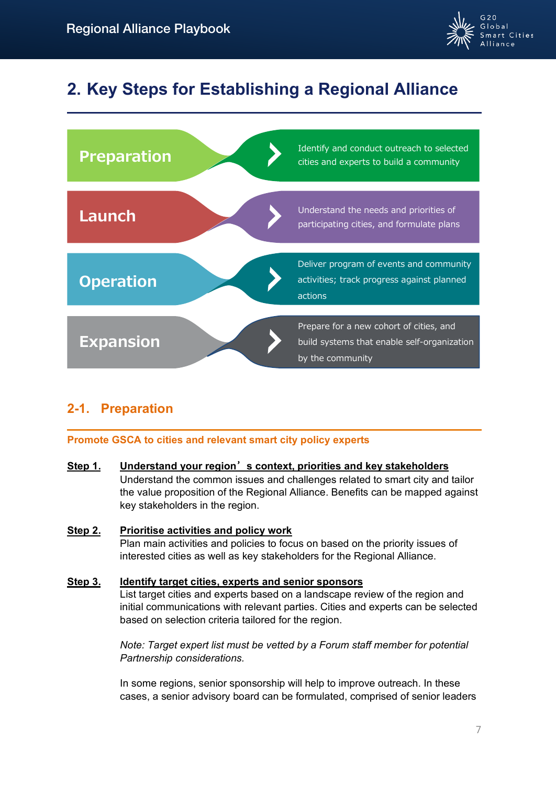

# <span id="page-6-0"></span>**2. Key Steps for Establishing a Regional Alliance**



# <span id="page-6-1"></span>**2-1. Preparation**

# **Promote GSCA to cities and relevant smart city policy experts**

## **Step 1. Understand your region**'**s context, priorities and key stakeholders** Understand the common issues and challenges related to smart city and tailor the value proposition of the Regional Alliance. Benefits can be mapped against key stakeholders in the region.

# **Step 2. Prioritise activities and policy work**  Plan main activities and policies to focus on based on the priority issues of interested cities as well as key stakeholders for the Regional Alliance.

# **Step 3. Identify target cities, experts and senior sponsors**

List target cities and experts based on a landscape review of the region and initial communications with relevant parties. Cities and experts can be selected based on selection criteria tailored for the region.

*Note: Target expert list must be vetted by a Forum staff member for potential Partnership considerations.*

In some regions, senior sponsorship will help to improve outreach. In these cases, a senior advisory board can be formulated, comprised of senior leaders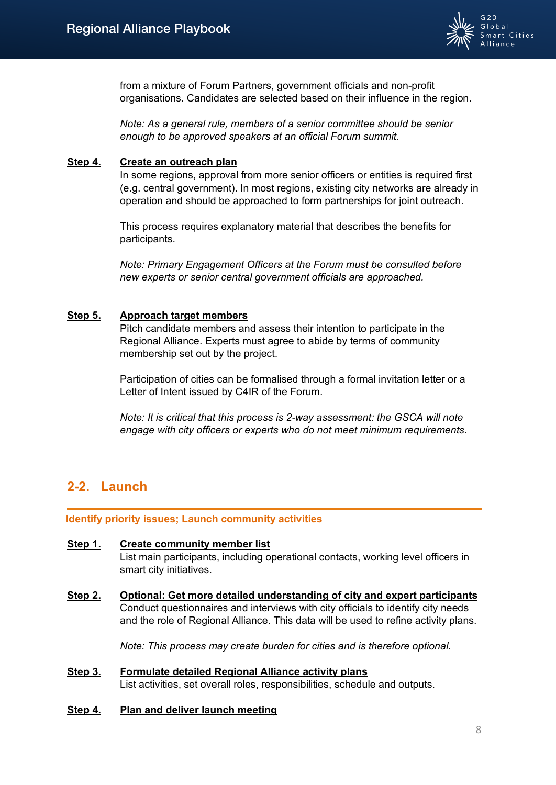

from a mixture of Forum Partners, government officials and non-profit organisations. Candidates are selected based on their influence in the region.

*Note: As a general rule, members of a senior committee should be senior enough to be approved speakers at an official Forum summit.*

#### **Step 4. Create an outreach plan**

In some regions, approval from more senior officers or entities is required first (e.g. central government). In most regions, existing city networks are already in operation and should be approached to form partnerships for joint outreach.

This process requires explanatory material that describes the benefits for participants.

*Note: Primary Engagement Officers at the Forum must be consulted before new experts or senior central government officials are approached.*

### **Step 5. Approach target members**

Pitch candidate members and assess their intention to participate in the Regional Alliance. Experts must agree to abide by terms of community membership set out by the project.

Participation of cities can be formalised through a formal invitation letter or a Letter of Intent issued by C4IR of the Forum.

*Note: It is critical that this process is 2-way assessment: the GSCA will note engage with city officers or experts who do not meet minimum requirements.*

# <span id="page-7-0"></span>**2-2. Launch**

#### **Identify priority issues; Launch community activities**

#### **Step 1. Create community member list**

List main participants, including operational contacts, working level officers in smart city initiatives.

**Step 2. Optional: Get more detailed understanding of city and expert participants** Conduct questionnaires and interviews with city officials to identify city needs and the role of Regional Alliance. This data will be used to refine activity plans.

*Note: This process may create burden for cities and is therefore optional.*

- **Step 3. Formulate detailed Regional Alliance activity plans** List activities, set overall roles, responsibilities, schedule and outputs.
- **Step 4. Plan and deliver launch meeting**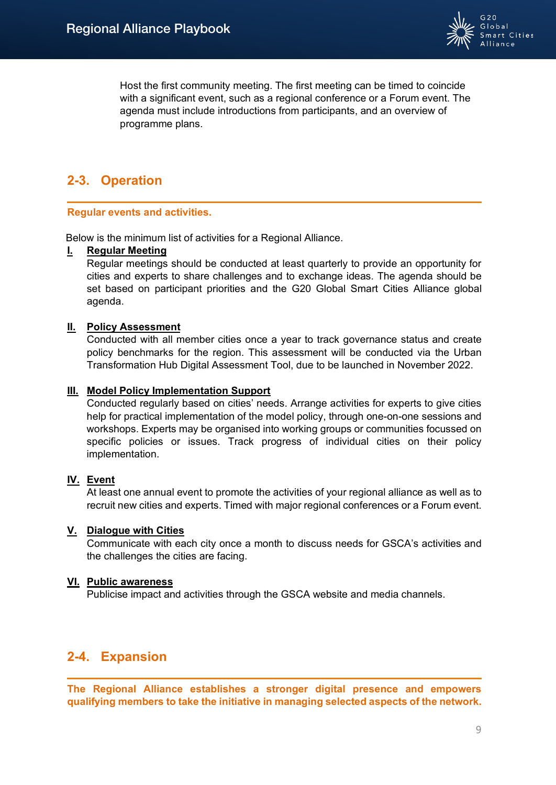

Host the first community meeting. The first meeting can be timed to coincide with a significant event, such as a regional conference or a Forum event. The agenda must include introductions from participants, and an overview of programme plans.

# <span id="page-8-0"></span>**2-3. Operation**

### **Regular events and activities.**

Below is the minimum list of activities for a Regional Alliance.

### **I. Regular Meeting**

Regular meetings should be conducted at least quarterly to provide an opportunity for cities and experts to share challenges and to exchange ideas. The agenda should be set based on participant priorities and the G20 Global Smart Cities Alliance global agenda.

### **II. Policy Assessment**

Conducted with all member cities once a year to track governance status and create policy benchmarks for the region. This assessment will be conducted via the Urban Transformation Hub Digital Assessment Tool, due to be launched in November 2022.

### **III. Model Policy Implementation Support**

Conducted regularly based on cities' needs. Arrange activities for experts to give cities help for practical implementation of the model policy, through one-on-one sessions and workshops. Experts may be organised into working groups or communities focussed on specific policies or issues. Track progress of individual cities on their policy implementation.

## **IV. Event**

At least one annual event to promote the activities of your regional alliance as well as to recruit new cities and experts. Timed with major regional conferences or a Forum event.

#### **V. Dialogue with Cities**

Communicate with each city once a month to discuss needs for GSCA's activities and the challenges the cities are facing.

#### **VI. Public awareness**

Publicise impact and activities through the GSCA website and media channels.

# <span id="page-8-1"></span>**2-4. Expansion**

**The Regional Alliance establishes a stronger digital presence and empowers qualifying members to take the initiative in managing selected aspects of the network.**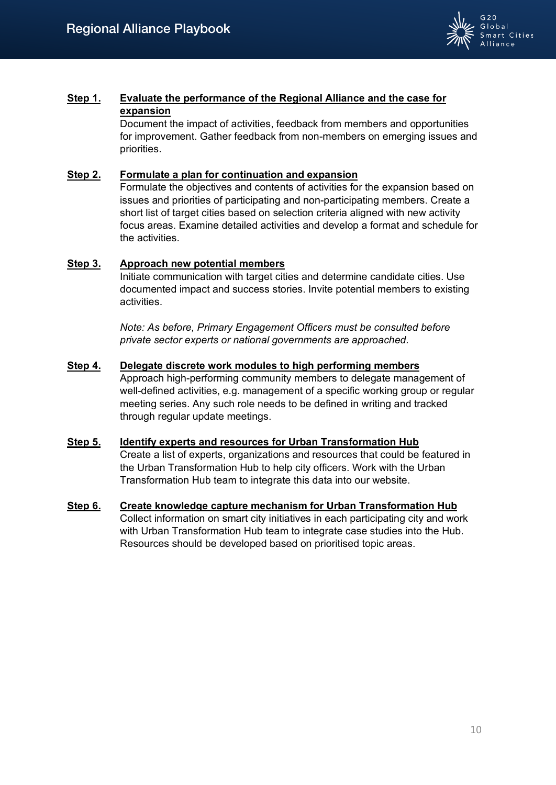

## **Step 1. Evaluate the performance of the Regional Alliance and the case for expansion**

Document the impact of activities, feedback from members and opportunities for improvement. Gather feedback from non-members on emerging issues and priorities.

## **Step 2. Formulate a plan for continuation and expansion**

Formulate the objectives and contents of activities for the expansion based on issues and priorities of participating and non-participating members. Create a short list of target cities based on selection criteria aligned with new activity focus areas. Examine detailed activities and develop a format and schedule for the activities.

### **Step 3. Approach new potential members**

Initiate communication with target cities and determine candidate cities. Use documented impact and success stories. Invite potential members to existing activities.

*Note: As before, Primary Engagement Officers must be consulted before private sector experts or national governments are approached.*

## **Step 4. Delegate discrete work modules to high performing members**

Approach high-performing community members to delegate management of well-defined activities, e.g. management of a specific working group or regular meeting series. Any such role needs to be defined in writing and tracked through regular update meetings.

## **Step 5. Identify experts and resources for Urban Transformation Hub** Create a list of experts, organizations and resources that could be featured in the Urban Transformation Hub to help city officers. Work with the Urban Transformation Hub team to integrate this data into our website.

**Step 6. Create knowledge capture mechanism for Urban Transformation Hub** Collect information on smart city initiatives in each participating city and work with Urban Transformation Hub team to integrate case studies into the Hub. Resources should be developed based on prioritised topic areas.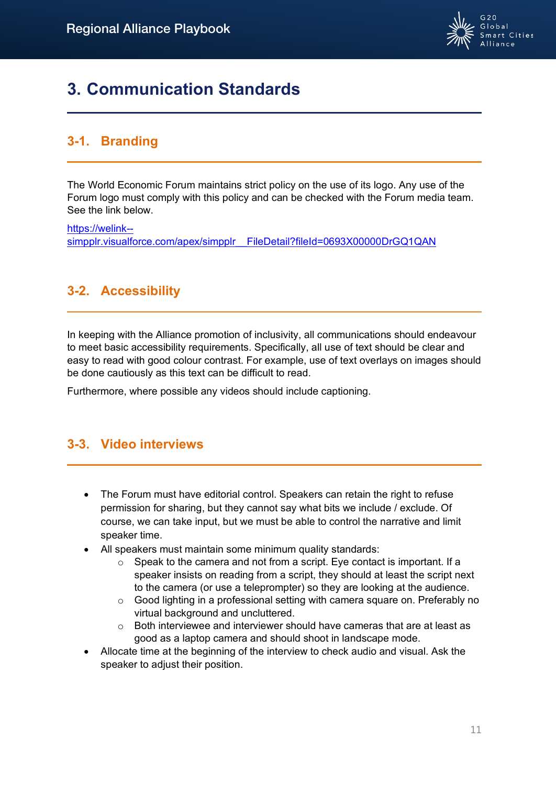

# <span id="page-10-0"></span>**3. Communication Standards**

# **3-1. Branding**

The World Economic Forum maintains strict policy on the use of its logo. Any use of the Forum logo must comply with this policy and can be checked with the Forum media team. See the link below.

[https://welink-](https://welink--simpplr.visualforce.com/apex/simpplr__FileDetail?fileId=0693X00000DrGQ1QAN) simpplr.visualforce.com/apex/simpplr\_FileDetail?fileId=0693X00000DrGQ1QAN

# **3-2. Accessibility**

In keeping with the Alliance promotion of inclusivity, all communications should endeavour to meet basic accessibility requirements. Specifically, all use of text should be clear and easy to read with good colour contrast. For example, use of text overlays on images should be done cautiously as this text can be difficult to read.

Furthermore, where possible any videos should include captioning.

# **3-3. Video interviews**

- The Forum must have editorial control. Speakers can retain the right to refuse permission for sharing, but they cannot say what bits we include / exclude. Of course, we can take input, but we must be able to control the narrative and limit speaker time.
- All speakers must maintain some minimum quality standards:
	- $\circ$  Speak to the camera and not from a script. Eye contact is important. If a speaker insists on reading from a script, they should at least the script next to the camera (or use a teleprompter) so they are looking at the audience.
	- $\circ$  Good lighting in a professional setting with camera square on. Preferably no virtual background and uncluttered.
	- $\circ$  Both interviewee and interviewer should have cameras that are at least as good as a laptop camera and should shoot in landscape mode.
- Allocate time at the beginning of the interview to check audio and visual. Ask the speaker to adjust their position.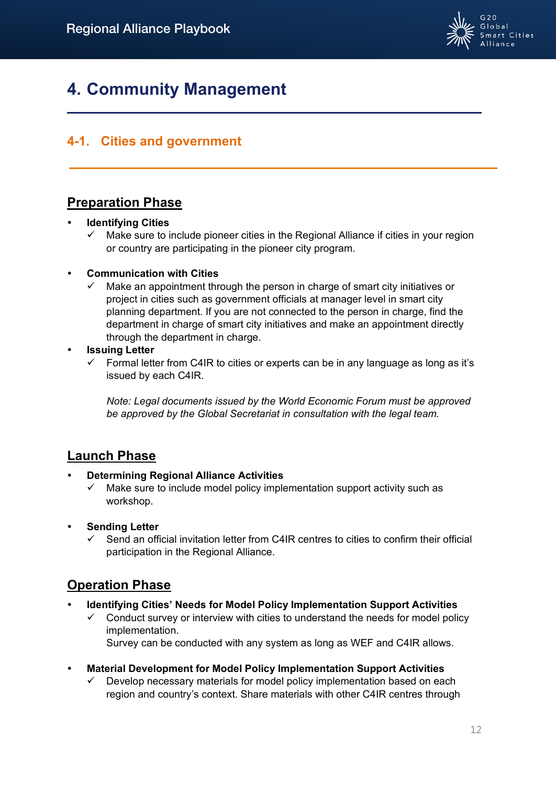

# **4. Community Management**

# **4-1. Cities and government**

# **Preparation Phase**

## **Identifying Cities**

 $\checkmark$  Make sure to include pioneer cities in the Regional Alliance if cities in your region or country are participating in the pioneer city program.

## **Communication with Cities**

 Make an appointment through the person in charge of smart city initiatives or project in cities such as government officials at manager level in smart city planning department. If you are not connected to the person in charge, find the department in charge of smart city initiatives and make an appointment directly through the department in charge.

## **Issuing Letter**

 $\checkmark$  Formal letter from C4IR to cities or experts can be in any language as long as it's issued by each C4IR.

*Note: Legal documents issued by the World Economic Forum must be approved be approved by the Global Secretariat in consultation with the legal team.*

# **Launch Phase**

## **Determining Regional Alliance Activities**

- $\checkmark$  Make sure to include model policy implementation support activity such as workshop.
- **Sending Letter**
	- Send an official invitation letter from C4IR centres to cities to confirm their official participation in the Regional Alliance.

# **Operation Phase**

- **Identifying Cities' Needs for Model Policy Implementation Support Activities**
	- Conduct survey or interview with cities to understand the needs for model policy implementation.

Survey can be conducted with any system as long as WEF and C4IR allows.

- **Material Development for Model Policy Implementation Support Activities**
	- Develop necessary materials for model policy implementation based on each region and country's context. Share materials with other C4IR centres through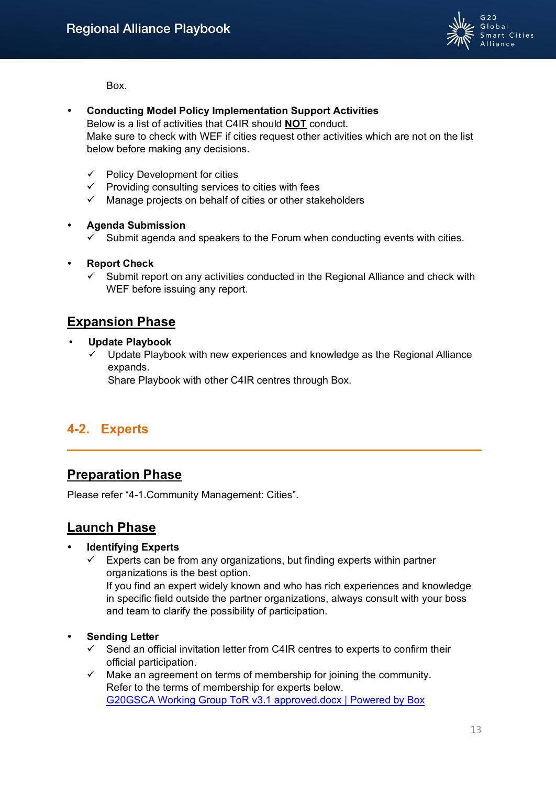

Box.

- **Conducting Model Policy Implementation Support Activities** Below is a list of activities that C4IR should **NOT** conduct. Make sure to check with WEF if cities request other activities which are not on the list below before making any decisions.
	- $\checkmark$  Policy Development for cities
	- $\checkmark$  Providing consulting services to cities with fees
	- $\checkmark$  Manage projects on behalf of cities or other stakeholders
- **Agenda Submission**
	- $\checkmark$  Submit agenda and speakers to the Forum when conducting events with cities.
- **Report Check**
	- $\checkmark$  Submit report on any activities conducted in the Regional Alliance and check with WEF before issuing any report.

# **Expansion Phase**

- **Update Playbook**
	- $\checkmark$  Update Playbook with new experiences and knowledge as the Regional Alliance expands.

Share Playbook with other C4IR centres through Box.

# <span id="page-12-0"></span>**4-2. Experts**

# **Preparation Phase**

Please refer "4-1.Community Management: Cities".

# **Launch Phase**

# **Identifying Experts**

 $\checkmark$  Experts can be from any organizations, but finding experts within partner organizations is the best option.

If you find an expert widely known and who has rich experiences and knowledge in specific field outside the partner organizations, always consult with your boss and team to clarify the possibility of participation.

- **Sending Letter**
	- $\checkmark$  Send an official invitation letter from C4IR centres to experts to confirm their official participation.
	- $\checkmark$  Make an agreement on terms of membership for joining the community. Refer to the terms of membership for experts below. [G20GSCA Working Group ToR v3.1 approved.docx | Powered by Box](https://weforum.ent.box.com/s/jsaugbif5fnztsosjkr5rnmjhkr8fed0)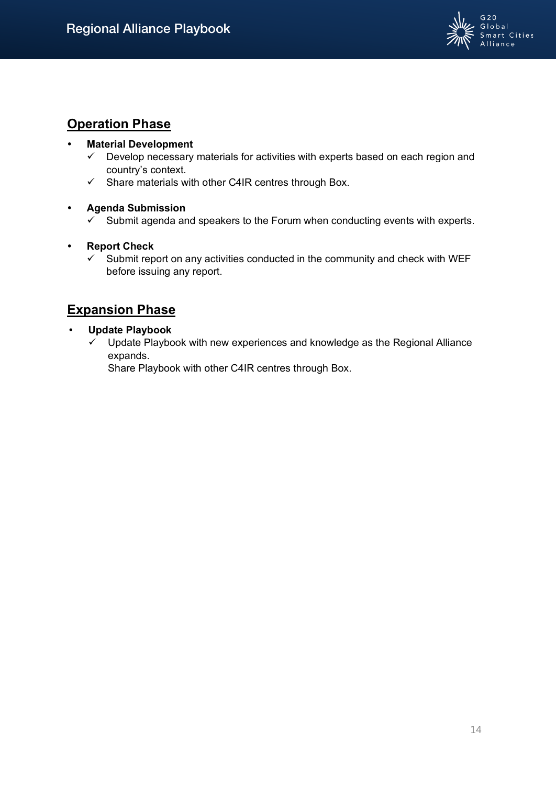

# **Operation Phase**

## **Material Development**

- $\checkmark$  Develop necessary materials for activities with experts based on each region and country's context.
- Share materials with other C4IR centres through Box.

# **Agenda Submission**

 $\checkmark$  Submit agenda and speakers to the Forum when conducting events with experts.

# **Report Check**

 $\checkmark$  Submit report on any activities conducted in the community and check with WEF before issuing any report.

# **Expansion Phase**

## **Update Playbook**

 $\checkmark$  Update Playbook with new experiences and knowledge as the Regional Alliance expands.

Share Playbook with other C4IR centres through Box.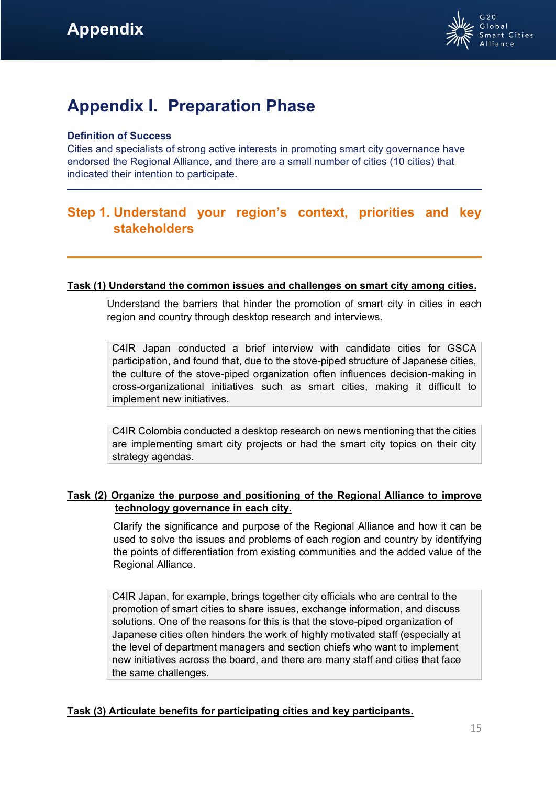

# <span id="page-14-0"></span>**Appendix I. Preparation Phase**

## **Definition of Success**

Cities and specialists of strong active interests in promoting smart city governance have endorsed the Regional Alliance, and there are a small number of cities (10 cities) that indicated their intention to participate.

# **Step 1. Understand your region's context, priorities and key stakeholders**

## **Task (1) Understand the common issues and challenges on smart city among cities.**

Understand the barriers that hinder the promotion of smart city in cities in each region and country through desktop research and interviews.

C4IR Japan conducted a brief interview with candidate cities for GSCA participation, and found that, due to the stove-piped structure of Japanese cities, the culture of the stove-piped organization often influences decision-making in cross-organizational initiatives such as smart cities, making it difficult to implement new initiatives.

C4IR Colombia conducted a desktop research on news mentioning that the cities are implementing smart city projects or had the smart city topics on their city strategy agendas.

## **Task (2) Organize the purpose and positioning of the Regional Alliance to improve technology governance in each city.**

Clarify the significance and purpose of the Regional Alliance and how it can be used to solve the issues and problems of each region and country by identifying the points of differentiation from existing communities and the added value of the Regional Alliance.

C4IR Japan, for example, brings together city officials who are central to the promotion of smart cities to share issues, exchange information, and discuss solutions. One of the reasons for this is that the stove-piped organization of Japanese cities often hinders the work of highly motivated staff (especially at the level of department managers and section chiefs who want to implement new initiatives across the board, and there are many staff and cities that face the same challenges.

# **Task (3) Articulate benefits for participating cities and key participants.**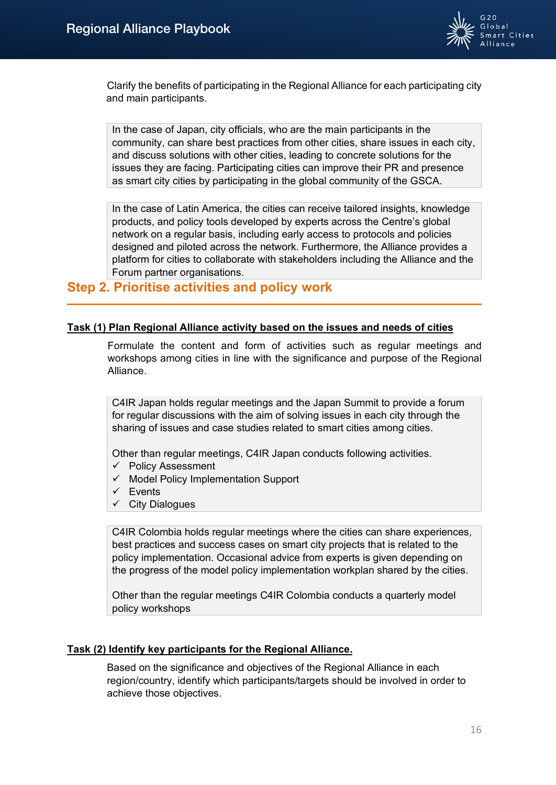

Clarify the benefits of participating in the Regional Alliance for each participating city and main participants.

In the case of Japan, city officials, who are the main participants in the community, can share best practices from other cities, share issues in each city, and discuss solutions with other cities, leading to concrete solutions for the issues they are facing. Participating cities can improve their PR and presence as smart city cities by participating in the global community of the GSCA.

In the case of Latin America, the cities can receive tailored insights, knowledge products, and policy tools developed by experts across the Centre's global network on a regular basis, including early access to protocols and policies designed and piloted across the network. Furthermore, the Alliance provides a platform for cities to collaborate with stakeholders including the Alliance and the Forum partner organisations.

# **Step 2. Prioritise activities and policy work**

### **Task (1) Plan Regional Alliance activity based on the issues and needs of cities**

Formulate the content and form of activities such as regular meetings and workshops among cities in line with the significance and purpose of the Regional Alliance.

C4IR Japan holds regular meetings and the Japan Summit to provide a forum for regular discussions with the aim of solving issues in each city through the sharing of issues and case studies related to smart cities among cities.

Other than regular meetings, C4IR Japan conducts following activities.

- $\checkmark$  Policy Assessment
- $\checkmark$  Model Policy Implementation Support
- $\checkmark$  Events
- $\checkmark$  City Dialogues

C4IR Colombia holds regular meetings where the cities can share experiences, best practices and success cases on smart city projects that is related to the policy implementation. Occasional advice from experts is given depending on the progress of the model policy implementation workplan shared by the cities.

Other than the regular meetings C4IR Colombia conducts a quarterly model policy workshops

## **Task (2) Identify key participants for the Regional Alliance.**

Based on the significance and objectives of the Regional Alliance in each region/country, identify which participants/targets should be involved in order to achieve those objectives.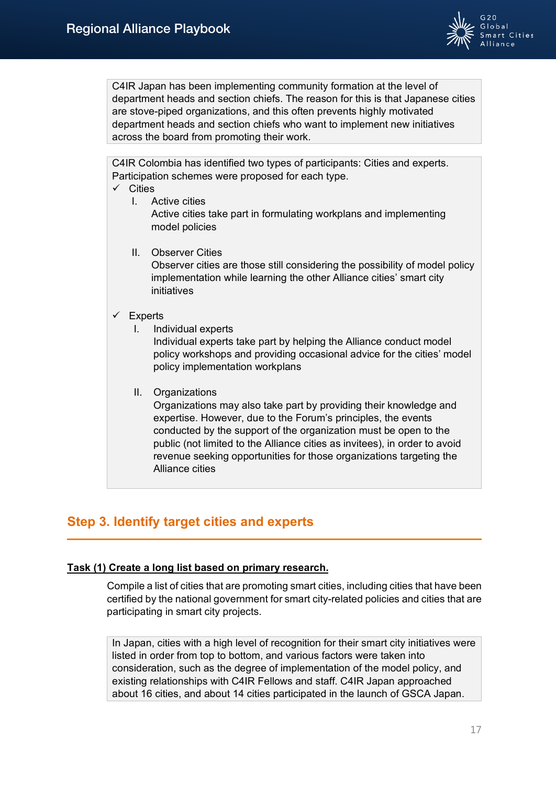

C4IR Japan has been implementing community formation at the level of department heads and section chiefs. The reason for this is that Japanese cities are stove-piped organizations, and this often prevents highly motivated department heads and section chiefs who want to implement new initiatives across the board from promoting their work.

C4IR Colombia has identified two types of participants: Cities and experts. Participation schemes were proposed for each type.

- $\checkmark$  Cities
	- I. Active cities Active cities take part in formulating workplans and implementing model policies
		- II. Observer Cities Observer cities are those still considering the possibility of model policy implementation while learning the other Alliance cities' smart city initiatives

## $\checkmark$  Experts

I. Individual experts

Individual experts take part by helping the Alliance conduct model policy workshops and providing occasional advice for the cities' model policy implementation workplans

II. Organizations

Organizations may also take part by providing their knowledge and expertise. However, due to the Forum's principles, the events conducted by the support of the organization must be open to the public (not limited to the Alliance cities as invitees), in order to avoid revenue seeking opportunities for those organizations targeting the Alliance cities

# **Step 3. Identify target cities and experts**

# **Task (1) Create a long list based on primary research.**

Compile a list of cities that are promoting smart cities, including cities that have been certified by the national government for smart city-related policies and cities that are participating in smart city projects.

In Japan, cities with a high level of recognition for their smart city initiatives were listed in order from top to bottom, and various factors were taken into consideration, such as the degree of implementation of the model policy, and existing relationships with C4IR Fellows and staff. C4IR Japan approached about 16 cities, and about 14 cities participated in the launch of GSCA Japan.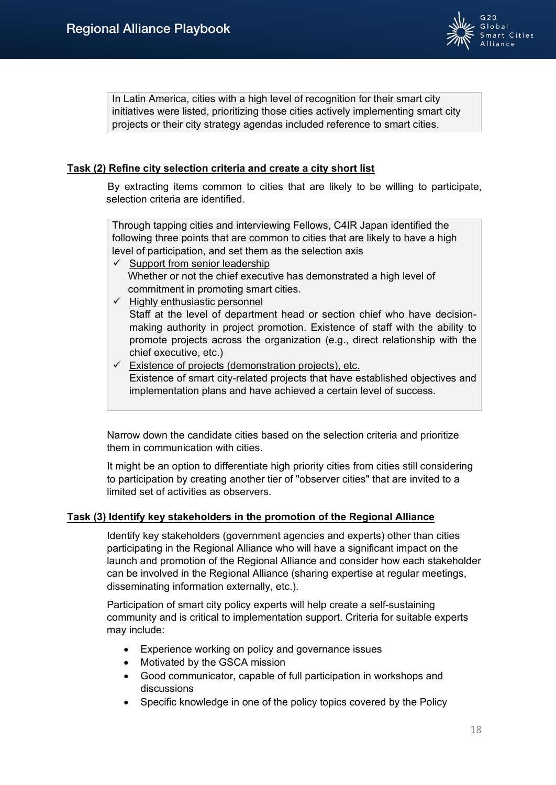

In Latin America, cities with a high level of recognition for their smart city initiatives were listed, prioritizing those cities actively implementing smart city projects or their city strategy agendas included reference to smart cities.

## **Task (2) Refine city selection criteria and create a city short list**

By extracting items common to cities that are likely to be willing to participate, selection criteria are identified.

Through tapping cities and interviewing Fellows, C4IR Japan identified the following three points that are common to cities that are likely to have a high level of participation, and set them as the selection axis

- $\checkmark$  Support from senior leadership Whether or not the chief executive has demonstrated a high level of commitment in promoting smart cities.
- $\checkmark$  Highly enthusiastic personnel

Staff at the level of department head or section chief who have decisionmaking authority in project promotion. Existence of staff with the ability to promote projects across the organization (e.g., direct relationship with the chief executive, etc.)

 $\checkmark$  Existence of projects (demonstration projects), etc. Existence of smart city-related projects that have established objectives and implementation plans and have achieved a certain level of success.

Narrow down the candidate cities based on the selection criteria and prioritize them in communication with cities.

It might be an option to differentiate high priority cities from cities still considering to participation by creating another tier of "observer cities" that are invited to a limited set of activities as observers.

## **Task (3) Identify key stakeholders in the promotion of the Regional Alliance**

Identify key stakeholders (government agencies and experts) other than cities participating in the Regional Alliance who will have a significant impact on the launch and promotion of the Regional Alliance and consider how each stakeholder can be involved in the Regional Alliance (sharing expertise at regular meetings, disseminating information externally, etc.).

Participation of smart city policy experts will help create a self-sustaining community and is critical to implementation support. Criteria for suitable experts may include:

- Experience working on policy and governance issues
- Motivated by the GSCA mission
- Good communicator, capable of full participation in workshops and discussions
- Specific knowledge in one of the policy topics covered by the Policy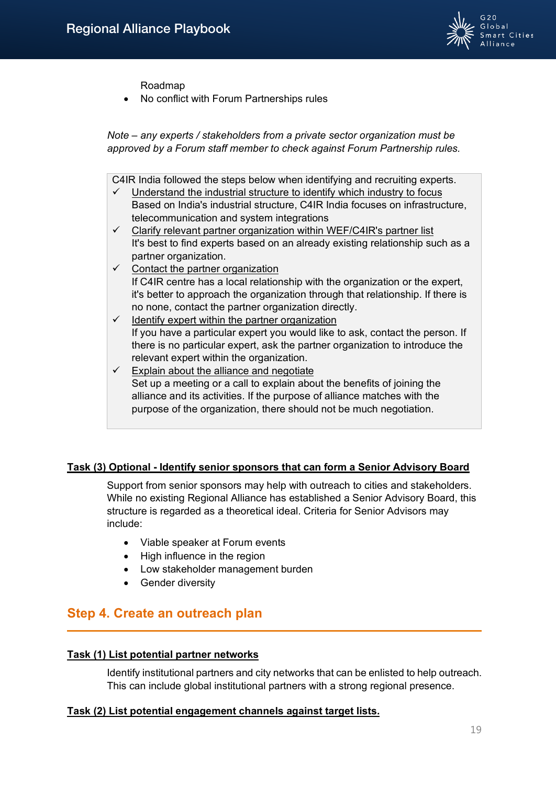

Roadmap

• No conflict with Forum Partnerships rules

*Note – any experts / stakeholders from a private sector organization must be approved by a Forum staff member to check against Forum Partnership rules.*

C4IR India followed the steps below when identifying and recruiting experts.

- $\checkmark$  Understand the industrial structure to identify which industry to focus Based on India's industrial structure, C4IR India focuses on infrastructure, telecommunication and system integrations
- $\checkmark$  Clarify relevant partner organization within WEF/C4IR's partner list It's best to find experts based on an already existing relationship such as a partner organization.
- $\checkmark$  Contact the partner organization If C4IR centre has a local relationship with the organization or the expert, it's better to approach the organization through that relationship. If there is no none, contact the partner organization directly.
- $\checkmark$  Identify expert within the partner organization If you have a particular expert you would like to ask, contact the person. If there is no particular expert, ask the partner organization to introduce the relevant expert within the organization.
- $\checkmark$  Explain about the alliance and negotiate Set up a meeting or a call to explain about the benefits of joining the alliance and its activities. If the purpose of alliance matches with the purpose of the organization, there should not be much negotiation.

## **Task (3) Optional - Identify senior sponsors that can form a Senior Advisory Board**

Support from senior sponsors may help with outreach to cities and stakeholders. While no existing Regional Alliance has established a Senior Advisory Board, this structure is regarded as a theoretical ideal. Criteria for Senior Advisors may include:

- Viable speaker at Forum events
- High influence in the region
- Low stakeholder management burden
- Gender diversity

# **Step 4. Create an outreach plan**

#### **Task (1) List potential partner networks**

Identify institutional partners and city networks that can be enlisted to help outreach. This can include global institutional partners with a strong regional presence.

#### **Task (2) List potential engagement channels against target lists.**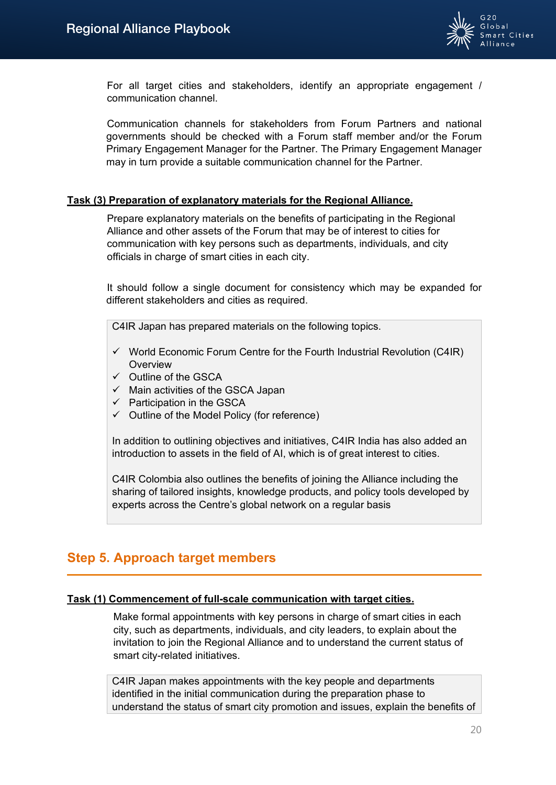

For all target cities and stakeholders, identify an appropriate engagement / communication channel.

Communication channels for stakeholders from Forum Partners and national governments should be checked with a Forum staff member and/or the Forum Primary Engagement Manager for the Partner. The Primary Engagement Manager may in turn provide a suitable communication channel for the Partner.

## **Task (3) Preparation of explanatory materials for the Regional Alliance.**

Prepare explanatory materials on the benefits of participating in the Regional Alliance and other assets of the Forum that may be of interest to cities for communication with key persons such as departments, individuals, and city officials in charge of smart cities in each city.

It should follow a single document for consistency which may be expanded for different stakeholders and cities as required.

C4IR Japan has prepared materials on the following topics.

- $\checkmark$  World Economic Forum Centre for the Fourth Industrial Revolution (C4IR) **Overview**
- $\checkmark$  Outline of the GSCA
- $\checkmark$  Main activities of the GSCA Japan
- $\checkmark$  Participation in the GSCA
- $\checkmark$  Outline of the Model Policy (for reference)

In addition to outlining objectives and initiatives, C4IR India has also added an introduction to assets in the field of AI, which is of great interest to cities.

C4IR Colombia also outlines the benefits of joining the Alliance including the sharing of tailored insights, knowledge products, and policy tools developed by experts across the Centre's global network on a regular basis

# **Step 5. Approach target members**

#### **Task (1) Commencement of full-scale communication with target cities.**

Make formal appointments with key persons in charge of smart cities in each city, such as departments, individuals, and city leaders, to explain about the invitation to join the Regional Alliance and to understand the current status of smart city-related initiatives.

C4IR Japan makes appointments with the key people and departments identified in the initial communication during the preparation phase to understand the status of smart city promotion and issues, explain the benefits of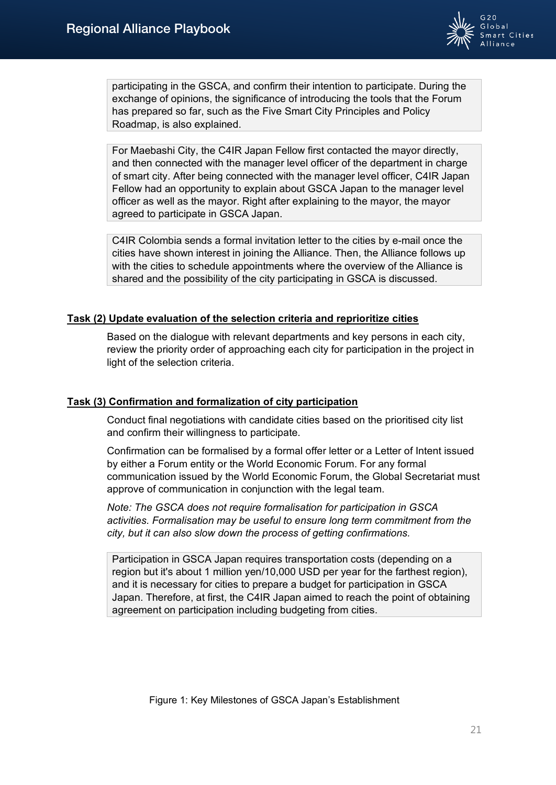

participating in the GSCA, and confirm their intention to participate. During the exchange of opinions, the significance of introducing the tools that the Forum has prepared so far, such as the Five Smart City Principles and Policy Roadmap, is also explained.

For Maebashi City, the C4IR Japan Fellow first contacted the mayor directly, and then connected with the manager level officer of the department in charge of smart city. After being connected with the manager level officer, C4IR Japan Fellow had an opportunity to explain about GSCA Japan to the manager level officer as well as the mayor. Right after explaining to the mayor, the mayor agreed to participate in GSCA Japan.

C4IR Colombia sends a formal invitation letter to the cities by e-mail once the cities have shown interest in joining the Alliance. Then, the Alliance follows up with the cities to schedule appointments where the overview of the Alliance is shared and the possibility of the city participating in GSCA is discussed.

## **Task (2) Update evaluation of the selection criteria and reprioritize cities**

Based on the dialogue with relevant departments and key persons in each city, review the priority order of approaching each city for participation in the project in light of the selection criteria.

## **Task (3) Confirmation and formalization of city participation**

Conduct final negotiations with candidate cities based on the prioritised city list and confirm their willingness to participate.

Confirmation can be formalised by a formal offer letter or a Letter of Intent issued by either a Forum entity or the World Economic Forum. For any formal communication issued by the World Economic Forum, the Global Secretariat must approve of communication in conjunction with the legal team.

*Note: The GSCA does not require formalisation for participation in GSCA activities. Formalisation may be useful to ensure long term commitment from the city, but it can also slow down the process of getting confirmations.*

Participation in GSCA Japan requires transportation costs (depending on a region but it's about 1 million yen/10,000 USD per year for the farthest region), and it is necessary for cities to prepare a budget for participation in GSCA Japan. Therefore, at first, the C4IR Japan aimed to reach the point of obtaining agreement on participation including budgeting from cities.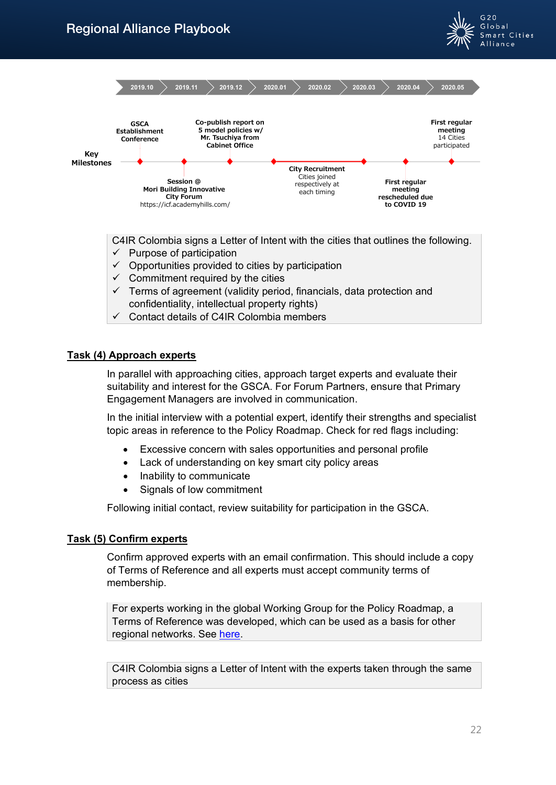



C4IR Colombia signs a Letter of Intent with the cities that outlines the following.

- $\checkmark$  Purpose of participation
- $\checkmark$  Opportunities provided to cities by participation
- $\checkmark$  Commitment required by the cities
- $\checkmark$  Terms of agreement (validity period, financials, data protection and confidentiality, intellectual property rights)
- $\checkmark$  Contact details of C4IR Colombia members

## **Task (4) Approach experts**

In parallel with approaching cities, approach target experts and evaluate their suitability and interest for the GSCA. For Forum Partners, ensure that Primary Engagement Managers are involved in communication.

In the initial interview with a potential expert, identify their strengths and specialist topic areas in reference to the Policy Roadmap. Check for red flags including:

- Excessive concern with sales opportunities and personal profile
- Lack of understanding on key smart city policy areas
- Inability to communicate
- Signals of low commitment

Following initial contact, review suitability for participation in the GSCA.

## **Task (5) Confirm experts**

Confirm approved experts with an email confirmation. This should include a copy of Terms of Reference and all experts must accept community terms of membership.

For experts working in the global Working Group for the Policy Roadmap, a Terms of Reference was developed, which can be used as a basis for other regional networks. See [here.](file://jptct2611/PO/8032371_FY22_%E3%82%B0%E3%83%AB%E3%83%BC%E3%83%97%E6%8A%95%E8%B3%87_WEF_G20%20Global%20Smart%20Cities%20Alliacne%20%E3%81%AE%20Regional%20Networks%20%E6%A7%8B%E7%AF%89%E3%83%BB%E6%8B%A1%E5%A4%A7%E6%94%AF%E6%8F%B4/05.%E4%BD%9C%E6%88%90%E8%B3%87%E6%96%99/05.Playbook/G20GSCA%20Working%20Group%20ToR%20v3.1%20approved.docx%20|%20Powered%20by%20Box)

C4IR Colombia signs a Letter of Intent with the experts taken through the same process as cities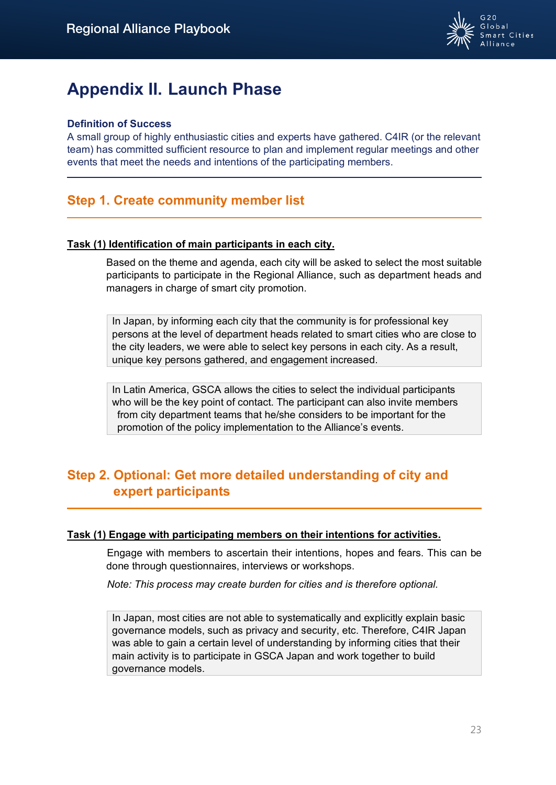

# <span id="page-22-0"></span>**Appendix II. Launch Phase**

## **Definition of Success**

A small group of highly enthusiastic cities and experts have gathered. C4IR (or the relevant team) has committed sufficient resource to plan and implement regular meetings and other events that meet the needs and intentions of the participating members.

# **Step 1. Create community member list**

## **Task (1) Identification of main participants in each city.**

Based on the theme and agenda, each city will be asked to select the most suitable participants to participate in the Regional Alliance, such as department heads and managers in charge of smart city promotion.

In Japan, by informing each city that the community is for professional key persons at the level of department heads related to smart cities who are close to the city leaders, we were able to select key persons in each city. As a result, unique key persons gathered, and engagement increased.

In Latin America, GSCA allows the cities to select the individual participants who will be the key point of contact. The participant can also invite members from city department teams that he/she considers to be important for the promotion of the policy implementation to the Alliance's events.

# **Step 2. Optional: Get more detailed understanding of city and expert participants**

## **Task (1) Engage with participating members on their intentions for activities.**

Engage with members to ascertain their intentions, hopes and fears. This can be done through questionnaires, interviews or workshops.

*Note: This process may create burden for cities and is therefore optional.*

In Japan, most cities are not able to systematically and explicitly explain basic governance models, such as privacy and security, etc. Therefore, C4IR Japan was able to gain a certain level of understanding by informing cities that their main activity is to participate in GSCA Japan and work together to build governance models.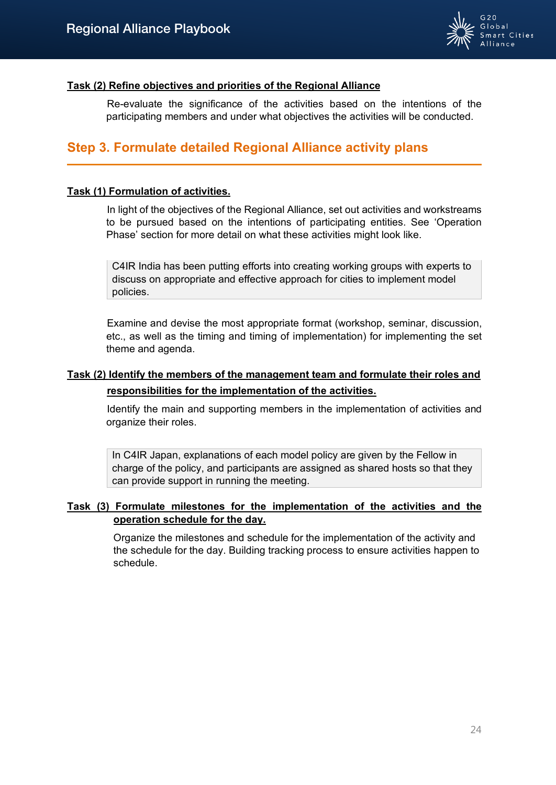

## **Task (2) Refine objectives and priorities of the Regional Alliance**

Re-evaluate the significance of the activities based on the intentions of the participating members and under what objectives the activities will be conducted.

# **Step 3. Formulate detailed Regional Alliance activity plans**

## **Task (1) Formulation of activities.**

In light of the objectives of the Regional Alliance, set out activities and workstreams to be pursued based on the intentions of participating entities. See 'Operation Phase' section for more detail on what these activities might look like.

C4IR India has been putting efforts into creating working groups with experts to discuss on appropriate and effective approach for cities to implement model policies.

Examine and devise the most appropriate format (workshop, seminar, discussion, etc., as well as the timing and timing of implementation) for implementing the set theme and agenda.

# **Task (2) Identify the members of the management team and formulate their roles and responsibilities for the implementation of the activities.**

Identify the main and supporting members in the implementation of activities and organize their roles.

In C4IR Japan, explanations of each model policy are given by the Fellow in charge of the policy, and participants are assigned as shared hosts so that they can provide support in running the meeting.

## **Task (3) Formulate milestones for the implementation of the activities and the operation schedule for the day.**

Organize the milestones and schedule for the implementation of the activity and the schedule for the day. Building tracking process to ensure activities happen to schedule.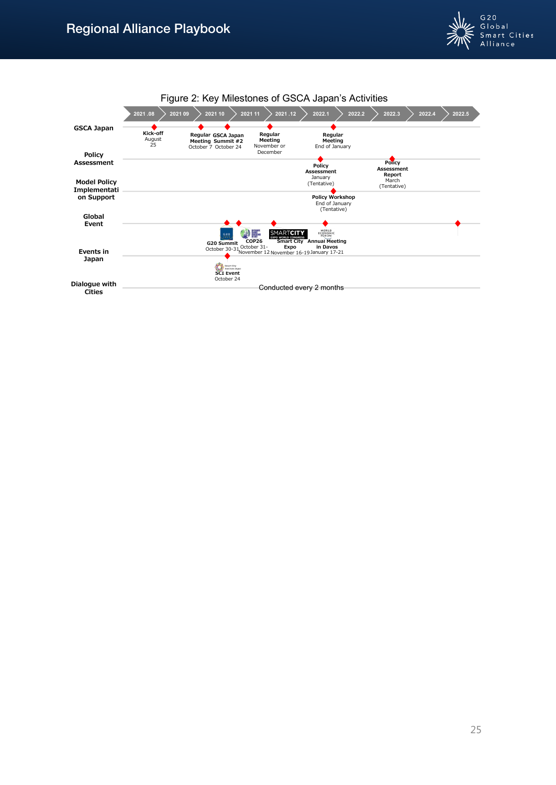

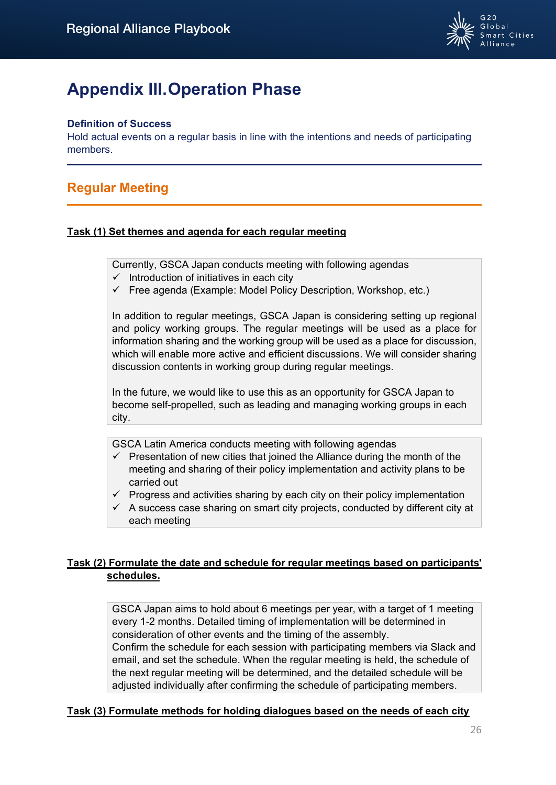

# <span id="page-25-0"></span>**Appendix III. Operation Phase**

## **Definition of Success**

Hold actual events on a regular basis in line with the intentions and needs of participating members.

# **Regular Meeting**

## **Task (1) Set themes and agenda for each regular meeting**

Currently, GSCA Japan conducts meeting with following agendas

- $\checkmark$  Introduction of initiatives in each city
- $\checkmark$  Free agenda (Example: Model Policy Description, Workshop, etc.)

In addition to regular meetings, GSCA Japan is considering setting up regional and policy working groups. The regular meetings will be used as a place for information sharing and the working group will be used as a place for discussion, which will enable more active and efficient discussions. We will consider sharing discussion contents in working group during regular meetings.

In the future, we would like to use this as an opportunity for GSCA Japan to become self-propelled, such as leading and managing working groups in each city.

GSCA Latin America conducts meeting with following agendas

- $\checkmark$  Presentation of new cities that joined the Alliance during the month of the meeting and sharing of their policy implementation and activity plans to be carried out
- $\checkmark$  Progress and activities sharing by each city on their policy implementation
- $\checkmark$  A success case sharing on smart city projects, conducted by different city at each meeting

# **Task (2) Formulate the date and schedule for regular meetings based on participants' schedules.**

GSCA Japan aims to hold about 6 meetings per year, with a target of 1 meeting every 1-2 months. Detailed timing of implementation will be determined in consideration of other events and the timing of the assembly. Confirm the schedule for each session with participating members via Slack and email, and set the schedule. When the regular meeting is held, the schedule of the next regular meeting will be determined, and the detailed schedule will be adjusted individually after confirming the schedule of participating members.

## **Task (3) Formulate methods for holding dialogues based on the needs of each city**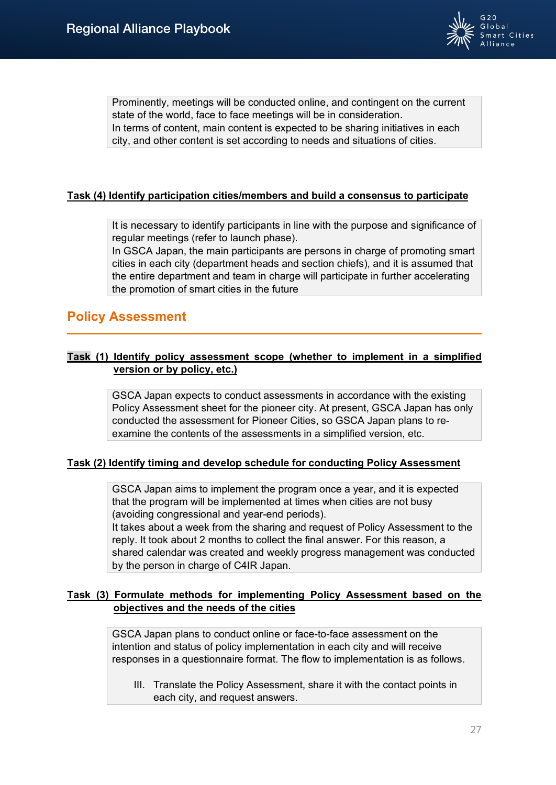

Prominently, meetings will be conducted online, and contingent on the current state of the world, face to face meetings will be in consideration. In terms of content, main content is expected to be sharing initiatives in each city, and other content is set according to needs and situations of cities.

## **Task (4) Identify participation cities/members and build a consensus to participate**

It is necessary to identify participants in line with the purpose and significance of regular meetings (refer to launch phase).

In GSCA Japan, the main participants are persons in charge of promoting smart cities in each city (department heads and section chiefs), and it is assumed that the entire department and team in charge will participate in further accelerating the promotion of smart cities in the future

# **Policy Assessment**

## **Task (1) Identify policy assessment scope (whether to implement in a simplified version or by policy, etc.)**

GSCA Japan expects to conduct assessments in accordance with the existing Policy Assessment sheet for the pioneer city. At present, GSCA Japan has only conducted the assessment for Pioneer Cities, so GSCA Japan plans to reexamine the contents of the assessments in a simplified version, etc.

## **Task (2) Identify timing and develop schedule for conducting Policy Assessment**

GSCA Japan aims to implement the program once a year, and it is expected that the program will be implemented at times when cities are not busy (avoiding congressional and year-end periods).

It takes about a week from the sharing and request of Policy Assessment to the reply. It took about 2 months to collect the final answer. For this reason, a shared calendar was created and weekly progress management was conducted by the person in charge of C4IR Japan.

## **Task (3) Formulate methods for implementing Policy Assessment based on the objectives and the needs of the cities**

GSCA Japan plans to conduct online or face-to-face assessment on the intention and status of policy implementation in each city and will receive responses in a questionnaire format. The flow to implementation is as follows.

III. Translate the Policy Assessment, share it with the contact points in each city, and request answers.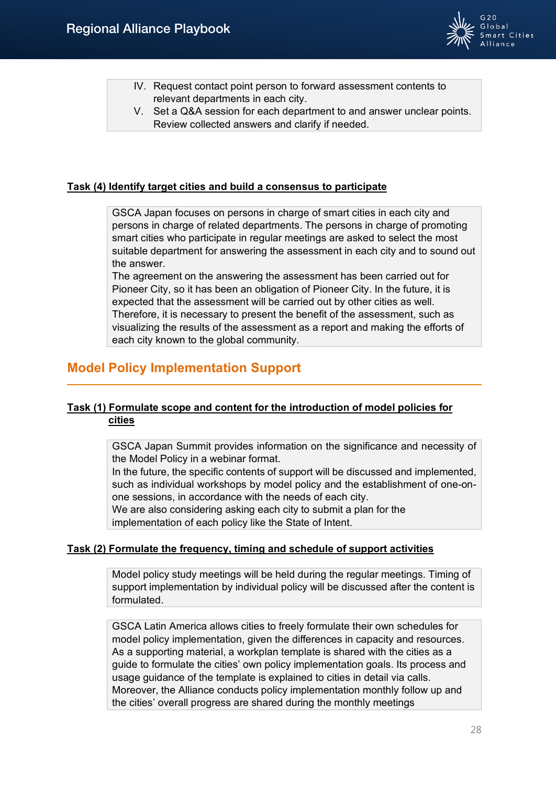

- IV. Request contact point person to forward assessment contents to relevant departments in each city.
- V. Set a Q&A session for each department to and answer unclear points. Review collected answers and clarify if needed.

## **Task (4) Identify target cities and build a consensus to participate**

GSCA Japan focuses on persons in charge of smart cities in each city and persons in charge of related departments. The persons in charge of promoting smart cities who participate in regular meetings are asked to select the most suitable department for answering the assessment in each city and to sound out the answer.

The agreement on the answering the assessment has been carried out for Pioneer City, so it has been an obligation of Pioneer City. In the future, it is expected that the assessment will be carried out by other cities as well. Therefore, it is necessary to present the benefit of the assessment, such as visualizing the results of the assessment as a report and making the efforts of each city known to the global community.

# **Model Policy Implementation Support**

# **Task (1) Formulate scope and content for the introduction of model policies for cities**

GSCA Japan Summit provides information on the significance and necessity of the Model Policy in a webinar format.

In the future, the specific contents of support will be discussed and implemented, such as individual workshops by model policy and the establishment of one-onone sessions, in accordance with the needs of each city.

We are also considering asking each city to submit a plan for the implementation of each policy like the State of Intent.

#### **Task (2) Formulate the frequency, timing and schedule of support activities**

Model policy study meetings will be held during the regular meetings. Timing of support implementation by individual policy will be discussed after the content is formulated.

GSCA Latin America allows cities to freely formulate their own schedules for model policy implementation, given the differences in capacity and resources. As a supporting material, a workplan template is shared with the cities as a guide to formulate the cities' own policy implementation goals. Its process and usage guidance of the template is explained to cities in detail via calls. Moreover, the Alliance conducts policy implementation monthly follow up and the cities' overall progress are shared during the monthly meetings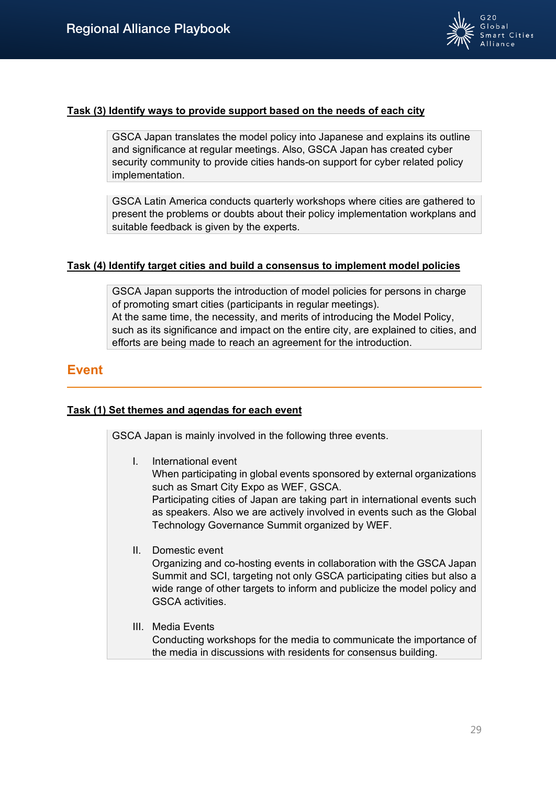

## **Task (3) Identify ways to provide support based on the needs of each city**

GSCA Japan translates the model policy into Japanese and explains its outline and significance at regular meetings. Also, GSCA Japan has created cyber security community to provide cities hands-on support for cyber related policy implementation.

GSCA Latin America conducts quarterly workshops where cities are gathered to present the problems or doubts about their policy implementation workplans and suitable feedback is given by the experts.

## **Task (4) Identify target cities and build a consensus to implement model policies**

GSCA Japan supports the introduction of model policies for persons in charge of promoting smart cities (participants in regular meetings). At the same time, the necessity, and merits of introducing the Model Policy, such as its significance and impact on the entire city, are explained to cities, and efforts are being made to reach an agreement for the introduction.

# **Event**

## **Task (1) Set themes and agendas for each event**

GSCA Japan is mainly involved in the following three events.

I. International event

When participating in global events sponsored by external organizations such as Smart City Expo as WEF, GSCA.

Participating cities of Japan are taking part in international events such as speakers. Also we are actively involved in events such as the Global Technology Governance Summit organized by WEF.

II. Domestic event

Organizing and co-hosting events in collaboration with the GSCA Japan Summit and SCI, targeting not only GSCA participating cities but also a wide range of other targets to inform and publicize the model policy and GSCA activities.

III. Media Events Conducting workshops for the media to communicate the importance of the media in discussions with residents for consensus building.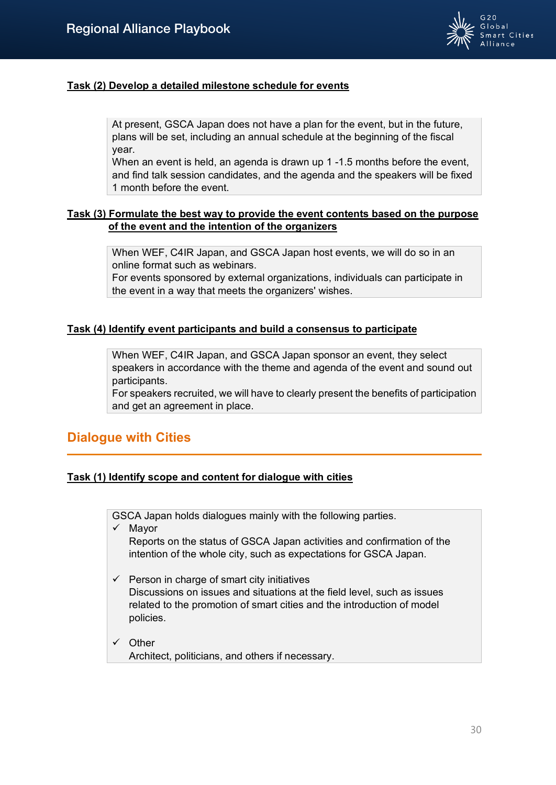

# **Task (2) Develop a detailed milestone schedule for events**

At present, GSCA Japan does not have a plan for the event, but in the future, plans will be set, including an annual schedule at the beginning of the fiscal year.

When an event is held, an agenda is drawn up 1 -1.5 months before the event, and find talk session candidates, and the agenda and the speakers will be fixed 1 month before the event.

## **Task (3) Formulate the best way to provide the event contents based on the purpose of the event and the intention of the organizers**

When WEF, C4IR Japan, and GSCA Japan host events, we will do so in an online format such as webinars.

For events sponsored by external organizations, individuals can participate in the event in a way that meets the organizers' wishes.

## **Task (4) Identify event participants and build a consensus to participate**

When WEF, C4IR Japan, and GSCA Japan sponsor an event, they select speakers in accordance with the theme and agenda of the event and sound out participants.

For speakers recruited, we will have to clearly present the benefits of participation and get an agreement in place.

# **Dialogue with Cities**

## **Task (1) Identify scope and content for dialogue with cities**

GSCA Japan holds dialogues mainly with the following parties.

 $\checkmark$  Mayor

Reports on the status of GSCA Japan activities and confirmation of the intention of the whole city, such as expectations for GSCA Japan.

- $\checkmark$  Person in charge of smart city initiatives Discussions on issues and situations at the field level, such as issues related to the promotion of smart cities and the introduction of model policies.
- $\checkmark$  Other Architect, politicians, and others if necessary.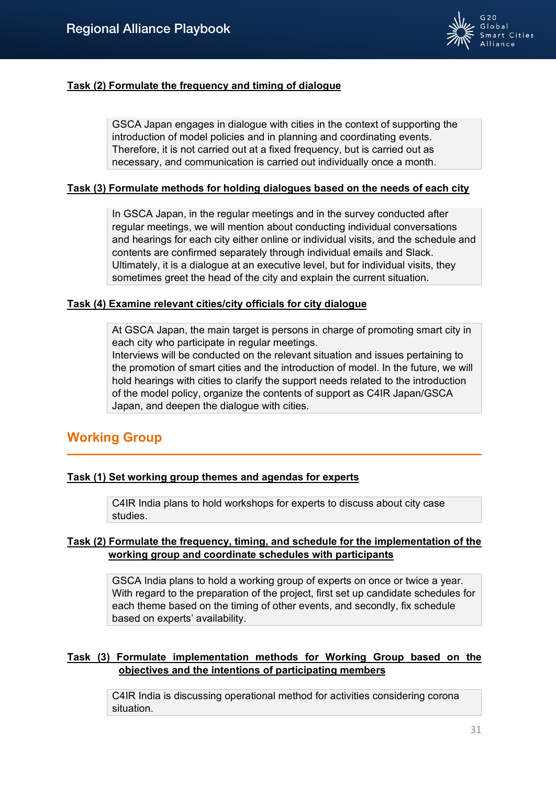

## **Task (2) Formulate the frequency and timing of dialogue**

GSCA Japan engages in dialogue with cities in the context of supporting the introduction of model policies and in planning and coordinating events. Therefore, it is not carried out at a fixed frequency, but is carried out as necessary, and communication is carried out individually once a month.

## **Task (3) Formulate methods for holding dialogues based on the needs of each city**

In GSCA Japan, in the regular meetings and in the survey conducted after regular meetings, we will mention about conducting individual conversations and hearings for each city either online or individual visits, and the schedule and contents are confirmed separately through individual emails and Slack. Ultimately, it is a dialogue at an executive level, but for individual visits, they sometimes greet the head of the city and explain the current situation.

### **Task (4) Examine relevant cities/city officials for city dialogue**

At GSCA Japan, the main target is persons in charge of promoting smart city in each city who participate in regular meetings.

Interviews will be conducted on the relevant situation and issues pertaining to the promotion of smart cities and the introduction of model. In the future, we will hold hearings with cities to clarify the support needs related to the introduction of the model policy, organize the contents of support as C4IR Japan/GSCA Japan, and deepen the dialogue with cities.

# **Working Group**

## **Task (1) Set working group themes and agendas for experts**

C4IR India plans to hold workshops for experts to discuss about city case studies.

## **Task (2) Formulate the frequency, timing, and schedule for the implementation of the working group and coordinate schedules with participants**

GSCA India plans to hold a working group of experts on once or twice a year. With regard to the preparation of the project, first set up candidate schedules for each theme based on the timing of other events, and secondly, fix schedule based on experts' availability.

## **Task (3) Formulate implementation methods for Working Group based on the objectives and the intentions of participating members**

C4IR India is discussing operational method for activities considering corona situation.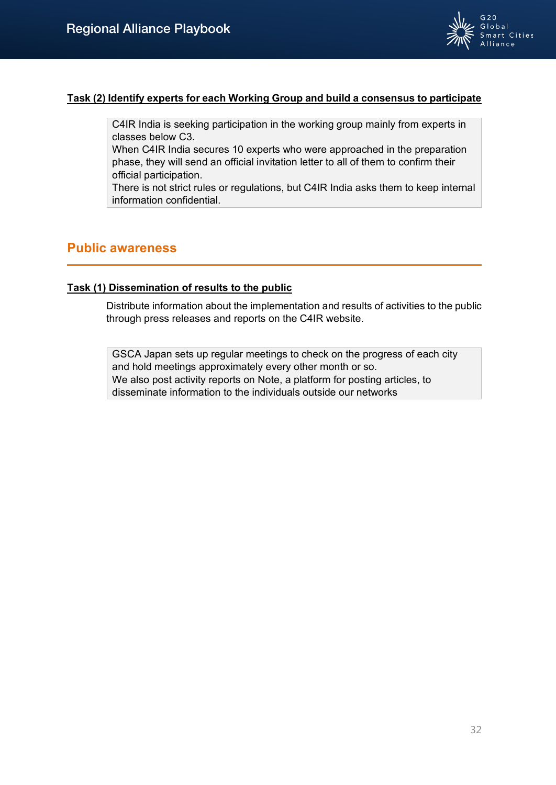

## **Task (2) Identify experts for each Working Group and build a consensus to participate**

C4IR India is seeking participation in the working group mainly from experts in classes below C3.

When C4IR India secures 10 experts who were approached in the preparation phase, they will send an official invitation letter to all of them to confirm their official participation.

There is not strict rules or regulations, but C4IR India asks them to keep internal information confidential.

# **Public awareness**

### **Task (1) Dissemination of results to the public**

Distribute information about the implementation and results of activities to the public through press releases and reports on the C4IR website.

GSCA Japan sets up regular meetings to check on the progress of each city and hold meetings approximately every other month or so. We also post activity reports on Note, a platform for posting articles, to disseminate information to the individuals outside our networks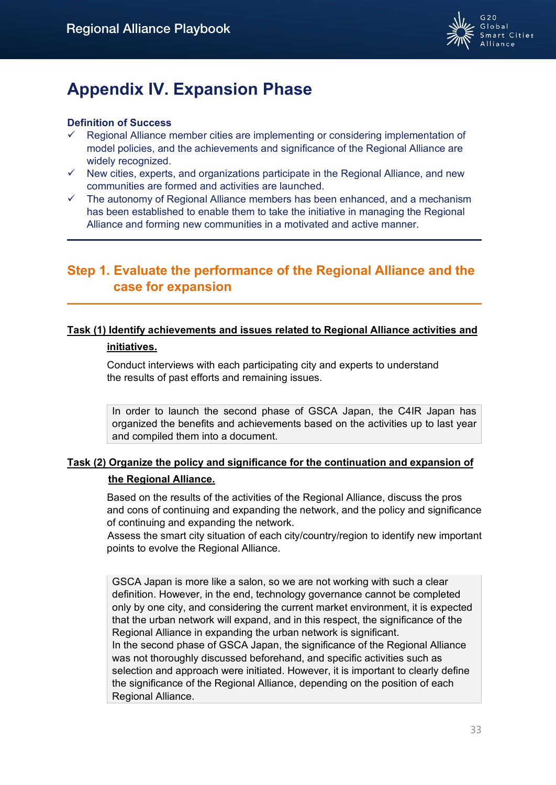

# <span id="page-32-0"></span>**Appendix IV. Expansion Phase**

## **Definition of Success**

- Regional Alliance member cities are implementing or considering implementation of model policies, and the achievements and significance of the Regional Alliance are widely recognized.
- $\checkmark$  New cities, experts, and organizations participate in the Regional Alliance, and new communities are formed and activities are launched.
- $\checkmark$  The autonomy of Regional Alliance members has been enhanced, and a mechanism has been established to enable them to take the initiative in managing the Regional Alliance and forming new communities in a motivated and active manner.

# **Step 1. Evaluate the performance of the Regional Alliance and the case for expansion**

# **Task (1) Identify achievements and issues related to Regional Alliance activities and**

## **initiatives.**

Conduct interviews with each participating city and experts to understand the results of past efforts and remaining issues.

In order to launch the second phase of GSCA Japan, the C4IR Japan has organized the benefits and achievements based on the activities up to last year and compiled them into a document.

# **Task (2) Organize the policy and significance for the continuation and expansion of the Regional Alliance.**

Based on the results of the activities of the Regional Alliance, discuss the pros and cons of continuing and expanding the network, and the policy and significance of continuing and expanding the network.

Assess the smart city situation of each city/country/region to identify new important points to evolve the Regional Alliance.

GSCA Japan is more like a salon, so we are not working with such a clear definition. However, in the end, technology governance cannot be completed only by one city, and considering the current market environment, it is expected that the urban network will expand, and in this respect, the significance of the Regional Alliance in expanding the urban network is significant. In the second phase of GSCA Japan, the significance of the Regional Alliance was not thoroughly discussed beforehand, and specific activities such as selection and approach were initiated. However, it is important to clearly define the significance of the Regional Alliance, depending on the position of each Regional Alliance.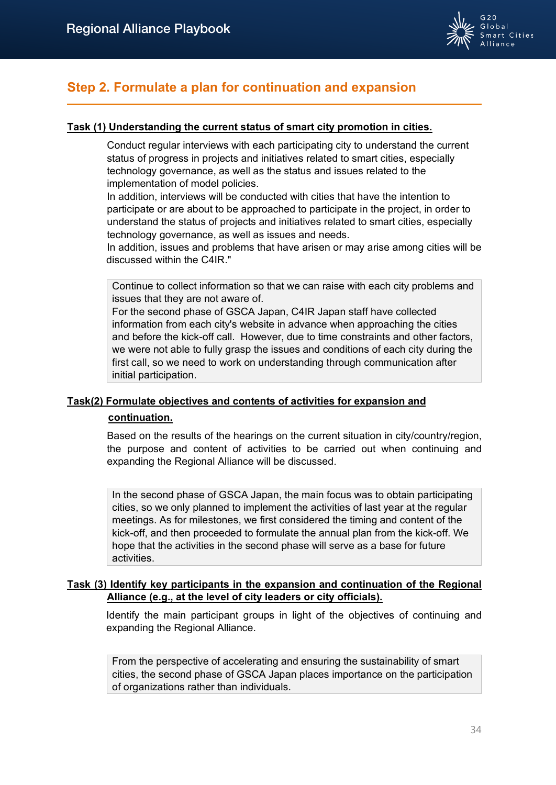

# **Step 2. Formulate a plan for continuation and expansion**

# **Task (1) Understanding the current status of smart city promotion in cities.**

Conduct regular interviews with each participating city to understand the current status of progress in projects and initiatives related to smart cities, especially technology governance, as well as the status and issues related to the implementation of model policies.

In addition, interviews will be conducted with cities that have the intention to participate or are about to be approached to participate in the project, in order to understand the status of projects and initiatives related to smart cities, especially technology governance, as well as issues and needs.

In addition, issues and problems that have arisen or may arise among cities will be discussed within the C4IR."

Continue to collect information so that we can raise with each city problems and issues that they are not aware of.

For the second phase of GSCA Japan, C4IR Japan staff have collected information from each city's website in advance when approaching the cities and before the kick-off call. However, due to time constraints and other factors, we were not able to fully grasp the issues and conditions of each city during the first call, so we need to work on understanding through communication after initial participation.

# **Task(2) Formulate objectives and contents of activities for expansion and**

## **continuation.**

Based on the results of the hearings on the current situation in city/country/region, the purpose and content of activities to be carried out when continuing and expanding the Regional Alliance will be discussed.

In the second phase of GSCA Japan, the main focus was to obtain participating cities, so we only planned to implement the activities of last year at the regular meetings. As for milestones, we first considered the timing and content of the kick-off, and then proceeded to formulate the annual plan from the kick-off. We hope that the activities in the second phase will serve as a base for future activities.

## **Task (3) Identify key participants in the expansion and continuation of the Regional Alliance (e.g., at the level of city leaders or city officials).**

Identify the main participant groups in light of the objectives of continuing and expanding the Regional Alliance.

From the perspective of accelerating and ensuring the sustainability of smart cities, the second phase of GSCA Japan places importance on the participation of organizations rather than individuals.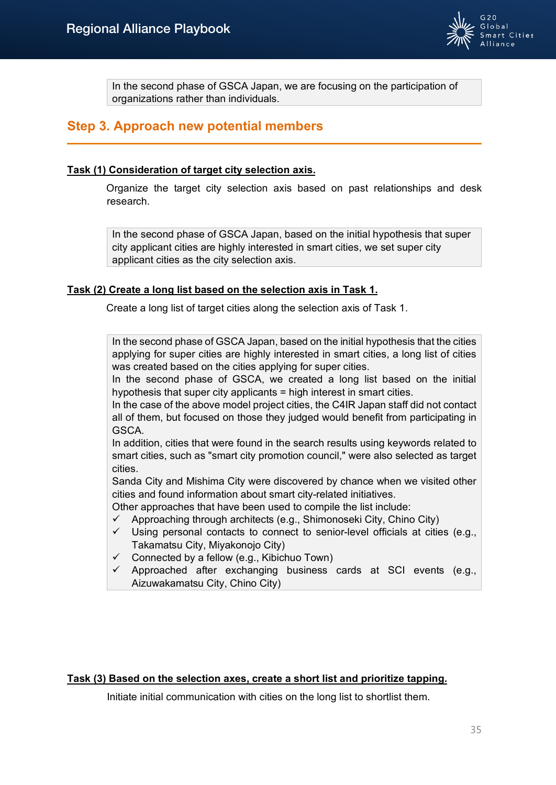

In the second phase of GSCA Japan, we are focusing on the participation of organizations rather than individuals.

# **Step 3. Approach new potential members**

### **Task (1) Consideration of target city selection axis.**

Organize the target city selection axis based on past relationships and desk research.

In the second phase of GSCA Japan, based on the initial hypothesis that super city applicant cities are highly interested in smart cities, we set super city applicant cities as the city selection axis.

## **Task (2) Create a long list based on the selection axis in Task 1.**

Create a long list of target cities along the selection axis of Task 1.

In the second phase of GSCA Japan, based on the initial hypothesis that the cities applying for super cities are highly interested in smart cities, a long list of cities was created based on the cities applying for super cities.

In the second phase of GSCA, we created a long list based on the initial hypothesis that super city applicants = high interest in smart cities.

In the case of the above model project cities, the C4IR Japan staff did not contact all of them, but focused on those they judged would benefit from participating in GSCA.

In addition, cities that were found in the search results using keywords related to smart cities, such as "smart city promotion council," were also selected as target cities.

Sanda City and Mishima City were discovered by chance when we visited other cities and found information about smart city-related initiatives.

Other approaches that have been used to compile the list include:

- $\checkmark$  Approaching through architects (e.g., Shimonoseki City, Chino City)
- $\checkmark$  Using personal contacts to connect to senior-level officials at cities (e.g., Takamatsu City, Miyakonojo City)
- $\checkmark$  Connected by a fellow (e.g., Kibichuo Town)
- $\checkmark$  Approached after exchanging business cards at SCI events (e.g., Aizuwakamatsu City, Chino City)

#### **Task (3) Based on the selection axes, create a short list and prioritize tapping.**

Initiate initial communication with cities on the long list to shortlist them.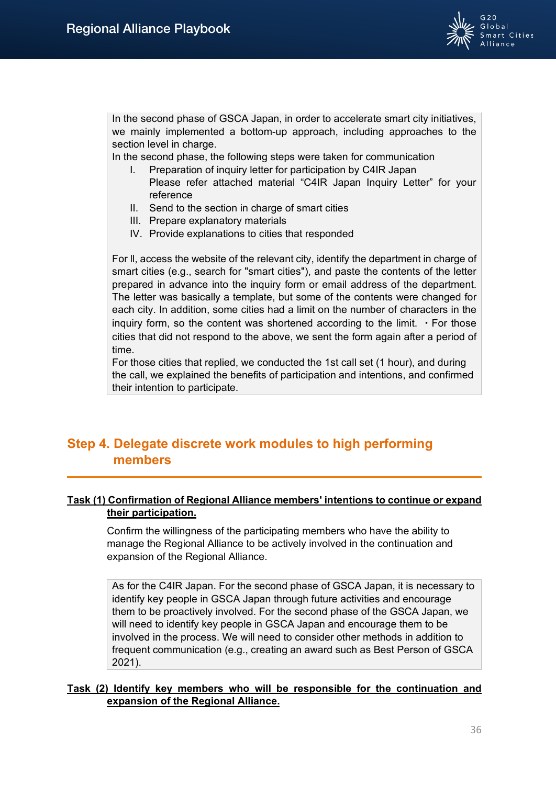

In the second phase of GSCA Japan, in order to accelerate smart city initiatives, we mainly implemented a bottom-up approach, including approaches to the section level in charge.

In the second phase, the following steps were taken for communication

- I. Preparation of inquiry letter for participation by C4IR Japan Please refer attached material "C4IR Japan Inquiry Letter" for your reference
- II. Send to the section in charge of smart cities
- III. Prepare explanatory materials
- IV. Provide explanations to cities that responded

For ll, access the website of the relevant city, identify the department in charge of smart cities (e.g., search for "smart cities"), and paste the contents of the letter prepared in advance into the inquiry form or email address of the department. The letter was basically a template, but some of the contents were changed for each city. In addition, some cities had a limit on the number of characters in the inquiry form, so the content was shortened according to the limit.  $\cdot$  For those cities that did not respond to the above, we sent the form again after a period of time.

For those cities that replied, we conducted the 1st call set (1 hour), and during the call, we explained the benefits of participation and intentions, and confirmed their intention to participate.

# **Step 4. Delegate discrete work modules to high performing members**

## **Task (1) Confirmation of Regional Alliance members' intentions to continue or expand their participation.**

Confirm the willingness of the participating members who have the ability to manage the Regional Alliance to be actively involved in the continuation and expansion of the Regional Alliance.

As for the C4IR Japan. For the second phase of GSCA Japan, it is necessary to identify key people in GSCA Japan through future activities and encourage them to be proactively involved. For the second phase of the GSCA Japan, we will need to identify key people in GSCA Japan and encourage them to be involved in the process. We will need to consider other methods in addition to frequent communication (e.g., creating an award such as Best Person of GSCA 2021).

## **Task (2) Identify key members who will be responsible for the continuation and expansion of the Regional Alliance.**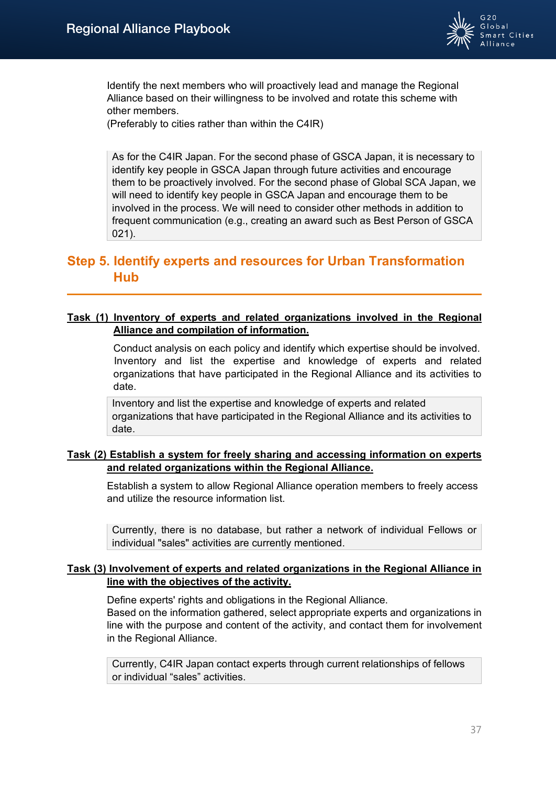

Identify the next members who will proactively lead and manage the Regional Alliance based on their willingness to be involved and rotate this scheme with other members.

(Preferably to cities rather than within the C4IR)

As for the C4IR Japan. For the second phase of GSCA Japan, it is necessary to identify key people in GSCA Japan through future activities and encourage them to be proactively involved. For the second phase of Global SCA Japan, we will need to identify key people in GSCA Japan and encourage them to be involved in the process. We will need to consider other methods in addition to frequent communication (e.g., creating an award such as Best Person of GSCA 021).

# **Step 5. Identify experts and resources for Urban Transformation Hub**

## **Task (1) Inventory of experts and related organizations involved in the Regional Alliance and compilation of information.**

Conduct analysis on each policy and identify which expertise should be involved. Inventory and list the expertise and knowledge of experts and related organizations that have participated in the Regional Alliance and its activities to date.

Inventory and list the expertise and knowledge of experts and related organizations that have participated in the Regional Alliance and its activities to date.

## **Task (2) Establish a system for freely sharing and accessing information on experts and related organizations within the Regional Alliance.**

Establish a system to allow Regional Alliance operation members to freely access and utilize the resource information list.

Currently, there is no database, but rather a network of individual Fellows or individual "sales" activities are currently mentioned.

## **Task (3) Involvement of experts and related organizations in the Regional Alliance in line with the objectives of the activity.**

Define experts' rights and obligations in the Regional Alliance.

Based on the information gathered, select appropriate experts and organizations in line with the purpose and content of the activity, and contact them for involvement in the Regional Alliance.

Currently, C4IR Japan contact experts through current relationships of fellows or individual "sales" activities.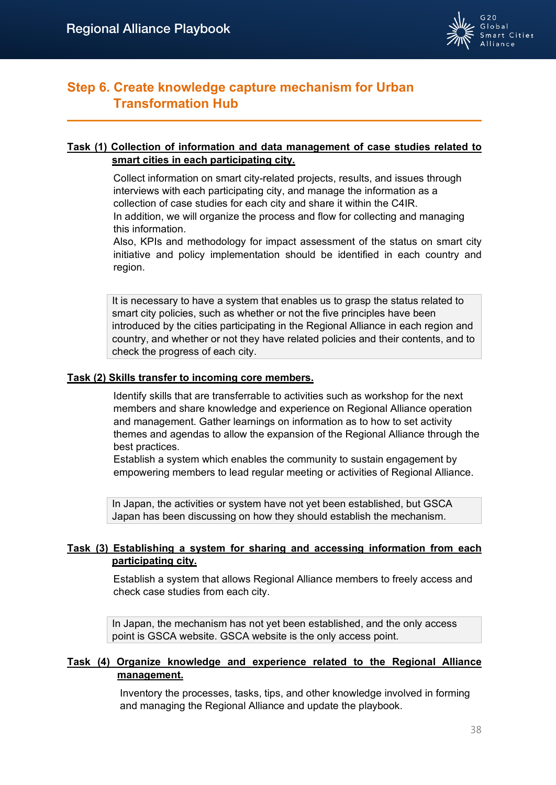

# **Step 6. Create knowledge capture mechanism for Urban Transformation Hub**

## **Task (1) Collection of information and data management of case studies related to smart cities in each participating city.**

Collect information on smart city-related projects, results, and issues through interviews with each participating city, and manage the information as a collection of case studies for each city and share it within the C4IR. In addition, we will organize the process and flow for collecting and managing this information.

Also, KPIs and methodology for impact assessment of the status on smart city initiative and policy implementation should be identified in each country and region.

It is necessary to have a system that enables us to grasp the status related to smart city policies, such as whether or not the five principles have been introduced by the cities participating in the Regional Alliance in each region and country, and whether or not they have related policies and their contents, and to check the progress of each city.

## **Task (2) Skills transfer to incoming core members.**

Identify skills that are transferrable to activities such as workshop for the next members and share knowledge and experience on Regional Alliance operation and management. Gather learnings on information as to how to set activity themes and agendas to allow the expansion of the Regional Alliance through the best practices.

Establish a system which enables the community to sustain engagement by empowering members to lead regular meeting or activities of Regional Alliance.

In Japan, the activities or system have not yet been established, but GSCA Japan has been discussing on how they should establish the mechanism.

## **Task (3) Establishing a system for sharing and accessing information from each participating city.**

Establish a system that allows Regional Alliance members to freely access and check case studies from each city.

In Japan, the mechanism has not yet been established, and the only access point is GSCA website. GSCA website is the only access point.

## **Task (4) Organize knowledge and experience related to the Regional Alliance management.**

Inventory the processes, tasks, tips, and other knowledge involved in forming and managing the Regional Alliance and update the playbook.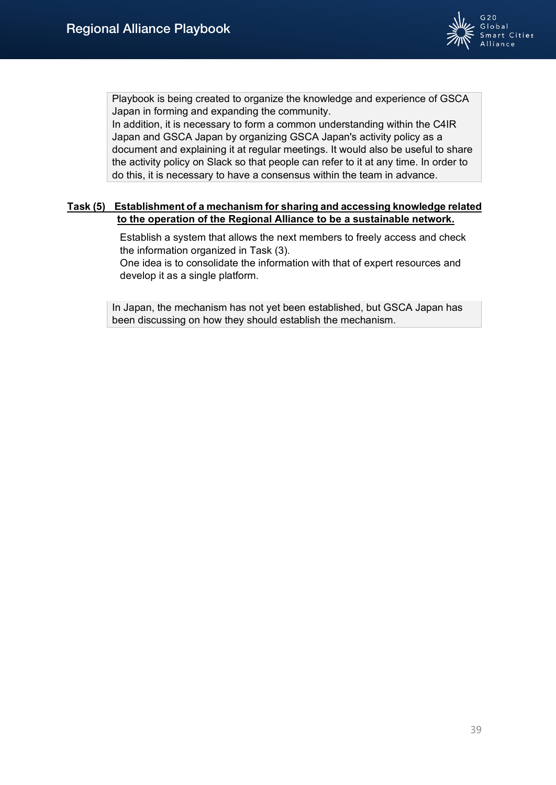

Playbook is being created to organize the knowledge and experience of GSCA Japan in forming and expanding the community.

In addition, it is necessary to form a common understanding within the C4IR Japan and GSCA Japan by organizing GSCA Japan's activity policy as a document and explaining it at regular meetings. It would also be useful to share the activity policy on Slack so that people can refer to it at any time. In order to do this, it is necessary to have a consensus within the team in advance.

## **Task (5) Establishment of a mechanism for sharing and accessing knowledge related to the operation of the Regional Alliance to be a sustainable network.**

Establish a system that allows the next members to freely access and check the information organized in Task (3).

One idea is to consolidate the information with that of expert resources and develop it as a single platform.

In Japan, the mechanism has not yet been established, but GSCA Japan has been discussing on how they should establish the mechanism.